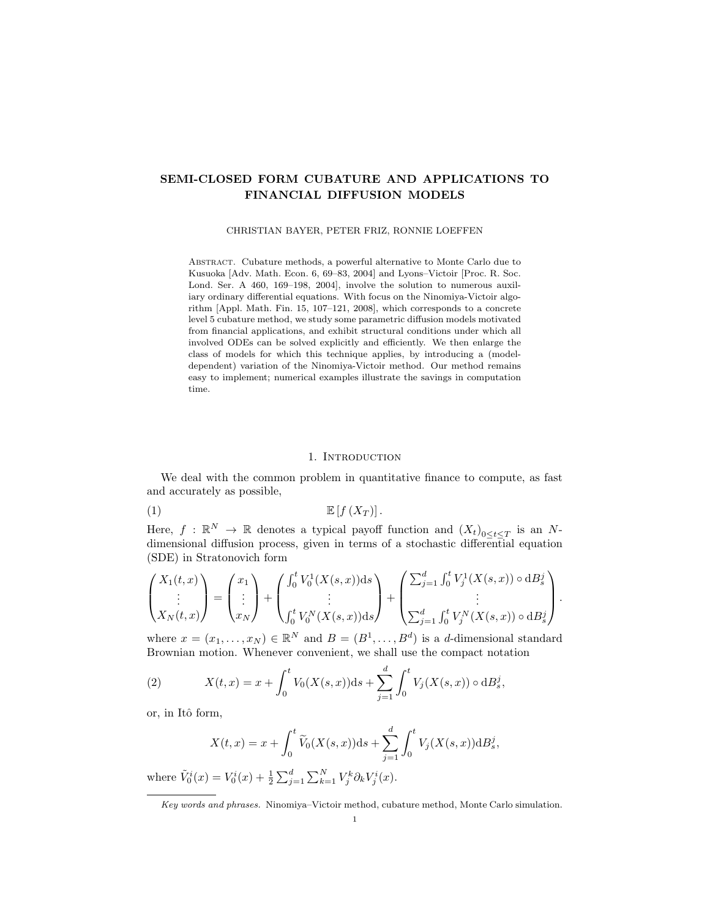# SEMI-CLOSED FORM CUBATURE AND APPLICATIONS TO FINANCIAL DIFFUSION MODELS

## CHRISTIAN BAYER, PETER FRIZ, RONNIE LOEFFEN

Abstract. Cubature methods, a powerful alternative to Monte Carlo due to Kusuoka [Adv. Math. Econ. 6, 69–83, 2004] and Lyons–Victoir [Proc. R. Soc. Lond. Ser. A 460, 169-198, 2004], involve the solution to numerous auxiliary ordinary differential equations. With focus on the Ninomiya-Victoir algorithm [Appl. Math. Fin. 15, 107–121, 2008], which corresponds to a concrete level 5 cubature method, we study some parametric diffusion models motivated from financial applications, and exhibit structural conditions under which all involved ODEs can be solved explicitly and efficiently. We then enlarge the class of models for which this technique applies, by introducing a (modeldependent) variation of the Ninomiya-Victoir method. Our method remains easy to implement; numerical examples illustrate the savings in computation time.

## 1. INTRODUCTION

We deal with the common problem in quantitative finance to compute, as fast and accurately as possible,

(1)  $\mathbb{E}\left[f\left(X_T\right)\right].$ 

Here,  $f : \mathbb{R}^N \to \mathbb{R}$  denotes a typical payoff function and  $(X_t)_{0 \leq t \leq T}$  is an Ndimensional diffusion process, given in terms of a stochastic differential equation (SDE) in Stratonovich form

$$
\begin{pmatrix} X_1(t,x) \\ \vdots \\ X_N(t,x) \end{pmatrix} = \begin{pmatrix} x_1 \\ \vdots \\ x_N \end{pmatrix} + \begin{pmatrix} \int_0^t V_0^1(X(s,x))ds \\ \vdots \\ \int_0^t V_0^N(X(s,x))ds \end{pmatrix} + \begin{pmatrix} \sum_{j=1}^d \int_0^t V_j^1(X(s,x)) \circ dB_s^j \\ \vdots \\ \sum_{j=1}^d \int_0^t V_j^N(X(s,x)) \circ dB_s^j \end{pmatrix}.
$$

where  $x = (x_1, \ldots, x_N) \in \mathbb{R}^N$  and  $B = (B^1, \ldots, B^d)$  is a *d*-dimensional standard Brownian motion. Whenever convenient, we shall use the compact notation

(2) 
$$
X(t,x) = x + \int_0^t V_0(X(s,x))ds + \sum_{j=1}^d \int_0^t V_j(X(s,x)) \circ dB_s^j,
$$

or, in Itô form,

$$
X(t,x) = x + \int_0^t \widetilde{V}_0(X(s,x))ds + \sum_{j=1}^d \int_0^t V_j(X(s,x))dB_s^j,
$$

where  $\tilde{V}_0^i(x) = V_0^i(x) + \frac{1}{2} \sum_{j=1}^d \sum_{k=1}^N V_j^k \partial_k V_j^i(x)$ .

Key words and phrases. Ninomiya–Victoir method, cubature method, Monte Carlo simulation.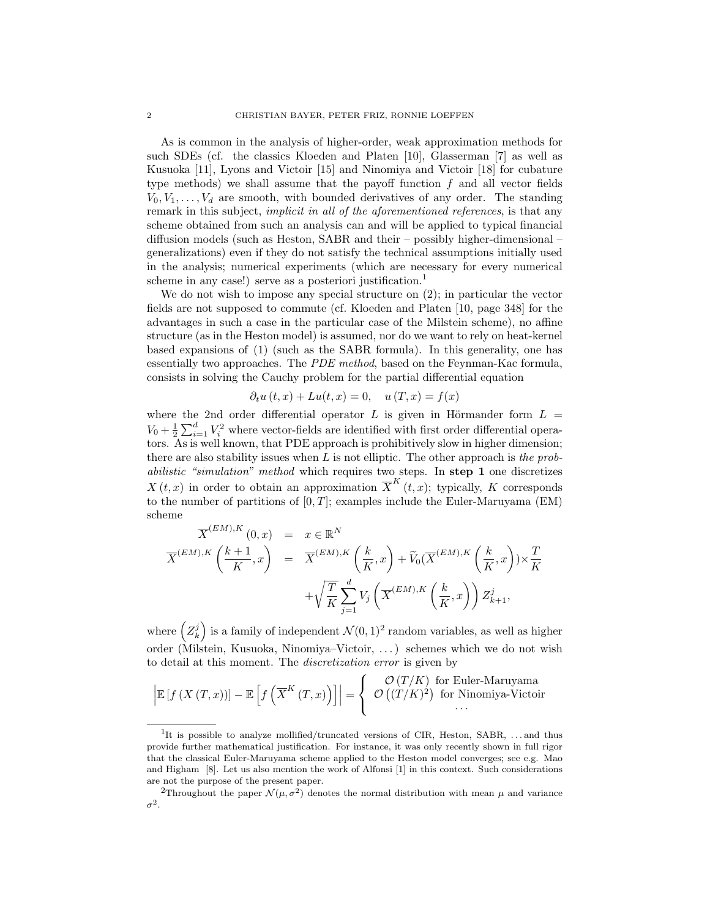As is common in the analysis of higher-order, weak approximation methods for such SDEs (cf. the classics Kloeden and Platen [10], Glasserman [7] as well as Kusuoka [11], Lyons and Victoir [15] and Ninomiya and Victoir [18] for cubature type methods) we shall assume that the payoff function  $f$  and all vector fields  $V_0, V_1, \ldots, V_d$  are smooth, with bounded derivatives of any order. The standing remark in this subject, *implicit in all of the aforementioned references*, is that any scheme obtained from such an analysis can and will be applied to typical financial diffusion models (such as Heston, SABR and their – possibly higher-dimensional – generalizations) even if they do not satisfy the technical assumptions initially used in the analysis; numerical experiments (which are necessary for every numerical scheme in any case!) serve as a posteriori justification.<sup>1</sup>

We do not wish to impose any special structure on (2); in particular the vector fields are not supposed to commute (cf. Kloeden and Platen [10, page 348] for the advantages in such a case in the particular case of the Milstein scheme), no affine structure (as in the Heston model) is assumed, nor do we want to rely on heat-kernel based expansions of (1) (such as the SABR formula). In this generality, one has essentially two approaches. The PDE method, based on the Feynman-Kac formula, consists in solving the Cauchy problem for the partial differential equation

$$
\partial_t u(t, x) + Lu(t, x) = 0, \quad u(T, x) = f(x)
$$

where the 2nd order differential operator  $L$  is given in Hörmander form  $L =$  $V_0 + \frac{1}{2} \sum_{i=1}^d V_i^2$  where vector-fields are identified with first order differential operators. As is well known, that PDE approach is prohibitively slow in higher dimension; there are also stability issues when  $L$  is not elliptic. The other approach is the probabilistic "simulation" method which requires two steps. In step 1 one discretizes  $X(t, x)$  in order to obtain an approximation  $\overline{X}^{K}(t, x)$ ; typically, K corresponds to the number of partitions of  $[0, T]$ ; examples include the Euler-Maruyama (EM) scheme

$$
\overline{X}^{(EM),K}(0,x) = x \in \mathbb{R}^N
$$
\n
$$
\overline{X}^{(EM),K}\left(\frac{k+1}{K},x\right) = \overline{X}^{(EM),K}\left(\frac{k}{K},x\right) + \widetilde{V}_0(\overline{X}^{(EM),K}\left(\frac{k}{K},x\right)) \times \frac{T}{K}
$$
\n
$$
+ \sqrt{\frac{T}{K}} \sum_{j=1}^d V_j\left(\overline{X}^{(EM),K}\left(\frac{k}{K},x\right)\right) Z_{k+1}^j,
$$

where  $\left( Z_{k}^{j}\right)$  is a family of independent  $\mathcal{N}(0,1)^{2}$  random variables, as well as higher order (Milstein, Kusuoka, Ninomiya–Victoir, . . . ) schemes which we do not wish to detail at this moment. The discretization error is given by

$$
\left| \mathbb{E}\left[f\left(X\left(T,x\right)\right)\right] - \mathbb{E}\left[f\left(\overline{X}^{K}\left(T,x\right)\right)\right] \right| = \left\{ \begin{array}{c} \mathcal{O}\left(T/K\right) \text{ for Euler-Maruyama} \\ \mathcal{O}\left(\left(T/K\right)^{2}\right) \text{ for Ninomiya-Victoir} \\ \cdots \end{array} \right.
$$

<sup>&</sup>lt;sup>1</sup>It is possible to analyze mollified/truncated versions of CIR, Heston, SABR, ... and thus provide further mathematical justification. For instance, it was only recently shown in full rigor that the classical Euler-Maruyama scheme applied to the Heston model converges; see e.g. Mao and Higham [8]. Let us also mention the work of Alfonsi [1] in this context. Such considerations are not the purpose of the present paper.

<sup>&</sup>lt;sup>2</sup>Throughout the paper  $\mathcal{N}(\mu, \sigma^2)$  denotes the normal distribution with mean  $\mu$  and variance  $\sigma^2$ .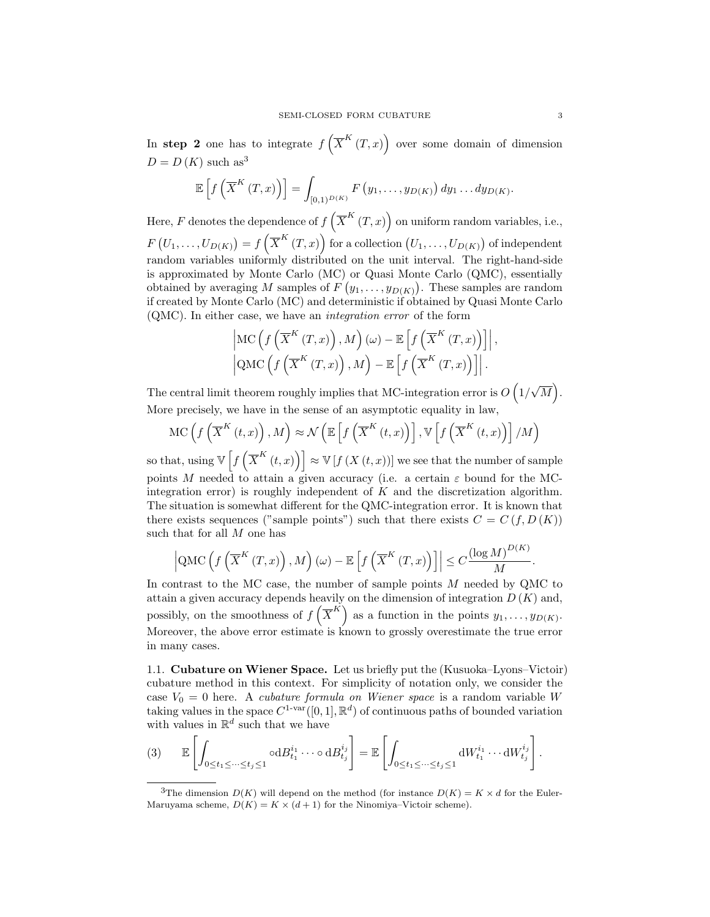In step 2 one has to integrate  $f\left(\overline{X}^K(T,x)\right)$  over some domain of dimension  $D = D(K)$  such as<sup>3</sup>

$$
\mathbb{E}\left[f\left(\overline{X}^{K}\left(T,x\right)\right)\right]=\int_{\left[0,1\right)^{D\left(K\right)}}F\left(y_{1},\ldots,y_{D\left(K\right)}\right)dy_{1}\ldots dy_{D\left(K\right)}.
$$

Here, F denotes the dependence of  $f\left(\overline{X}^K(T,x)\right)$  on uniform random variables, i.e.,  $F(U_1,\ldots,U_{D(K)})=f\left(\overline{X}^K(T,x)\right)$  for a collection  $(U_1,\ldots,U_{D(K)})$  of independent random variables uniformly distributed on the unit interval. The right-hand-side is approximated by Monte Carlo (MC) or Quasi Monte Carlo (QMC), essentially obtained by averaging M samples of  $F(y_1, \ldots, y_{D(K)})$ . These samples are random if created by Monte Carlo (MC) and deterministic if obtained by Quasi Monte Carlo (QMC). In either case, we have an integration error of the form

$$
\left| \text{MC} \left( f \left( \overline{X}^{K} \left( T, x \right) \right), M \right) (\omega) - \mathbb{E} \left[ f \left( \overline{X}^{K} \left( T, x \right) \right) \right] \right|,
$$
  

$$
\left| \text{QMC} \left( f \left( \overline{X}^{K} \left( T, x \right) \right), M \right) - \mathbb{E} \left[ f \left( \overline{X}^{K} \left( T, x \right) \right) \right] \right|.
$$

The central limit theorem roughly implies that MC-integration error is  $O(1/$ √  $\overline{M}$ ). More precisely, we have in the sense of an asymptotic equality in law,

$$
\mathrm{MC}\left(f\left(\overline{X}^{K}\left(t,x\right)\right),M\right)\approx\mathcal{N}\left(\mathbb{E}\left[f\left(\overline{X}^{K}\left(t,x\right)\right)\right],\mathbb{V}\left[f\left(\overline{X}^{K}\left(t,x\right)\right)\right]/M\right)
$$

so that, using  $\mathbb{V}\left[f\left(\overline{X}^K\left(t,x\right)\right)\right] \approx \mathbb{V}\left[f\left(X\left(t,x\right)\right)\right]$  we see that the number of sample points M needed to attain a given accuracy (i.e. a certain  $\varepsilon$  bound for the MCintegration error) is roughly independent of  $K$  and the discretization algorithm. The situation is somewhat different for the QMC-integration error. It is known that there exists sequences ("sample points") such that there exists  $C = C(f, D(K))$ such that for all M one has

$$
\left| \text{QMC}\left( f\left( \overline{X}^{K}\left( T,x\right) \right) ,M\right) (\omega) - \mathbb{E}\left[ f\left( \overline{X}^{K}\left( T,x\right) \right) \right] \right| \leq C \frac{\left( \log M\right)^{D(K)}}{M}.
$$

In contrast to the MC case, the number of sample points M needed by QMC to attain a given accuracy depends heavily on the dimension of integration  $D(K)$  and, possibly, on the smoothness of  $f\left(\overline{X}^K\right)$  as a function in the points  $y_1, \ldots, y_{D(K)}$ . Moreover, the above error estimate is known to grossly overestimate the true error in many cases.

1.1. Cubature on Wiener Space. Let us briefly put the (Kusuoka–Lyons–Victoir) cubature method in this context. For simplicity of notation only, we consider the case  $V_0 = 0$  here. A *cubature formula on Wiener space* is a random variable W taking values in the space  $C^{1-var}([0,1], \mathbb{R}^d)$  of continuous paths of bounded variation with values in  $\mathbb{R}^d$  such that we have

$$
(3) \qquad \mathbb{E}\left[\int_{0\leq t_1\leq\cdots\leq t_j\leq 1}\circ\mathrm{d}B_{t_1}^{i_1}\cdots\circ\mathrm{d}B_{t_j}^{i_j}\right]=\mathbb{E}\left[\int_{0\leq t_1\leq\cdots\leq t_j\leq 1}\mathrm{d}W_{t_1}^{i_1}\cdots\mathrm{d}W_{t_j}^{i_j}\right].
$$

<sup>&</sup>lt;sup>3</sup>The dimension  $D(K)$  will depend on the method (for instance  $D(K) = K \times d$  for the Euler-Maruyama scheme,  $D(K) = K \times (d+1)$  for the Ninomiya–Victoir scheme).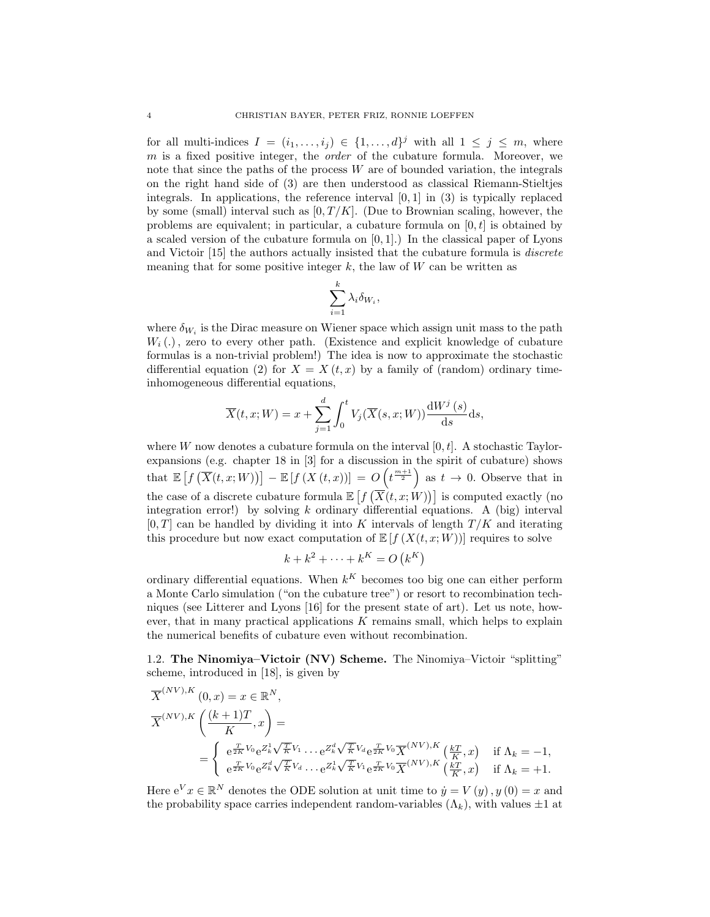for all multi-indices  $I = (i_1, \ldots, i_j) \in \{1, \ldots, d\}^j$  with all  $1 \leq j \leq m$ , where  $m$  is a fixed positive integer, the *order* of the cubature formula. Moreover, we note that since the paths of the process  $W$  are of bounded variation, the integrals on the right hand side of (3) are then understood as classical Riemann-Stieltjes integrals. In applications, the reference interval  $[0, 1]$  in  $(3)$  is typically replaced by some (small) interval such as  $[0, T/K]$ . (Due to Brownian scaling, however, the problems are equivalent; in particular, a cubature formula on  $[0, t]$  is obtained by a scaled version of the cubature formula on  $[0, 1]$ . In the classical paper of Lyons and Victoir [15] the authors actually insisted that the cubature formula is discrete meaning that for some positive integer  $k$ , the law of  $W$  can be written as

$$
\sum_{i=1}^k \lambda_i \delta_{W_i},
$$

where  $\delta_{W_i}$  is the Dirac measure on Wiener space which assign unit mass to the path  $W_i(.)$ , zero to every other path. (Existence and explicit knowledge of cubature formulas is a non-trivial problem!) The idea is now to approximate the stochastic differential equation (2) for  $X = X(t, x)$  by a family of (random) ordinary timeinhomogeneous differential equations,

$$
\overline{X}(t, x; W) = x + \sum_{j=1}^{d} \int_0^t V_j(\overline{X}(s, x; W)) \frac{\mathrm{d}W^j(s)}{\mathrm{d}s} \mathrm{d}s,
$$

where W now denotes a cubature formula on the interval  $[0, t]$ . A stochastic Taylorexpansions (e.g. chapter 18 in [3] for a discussion in the spirit of cubature) shows that  $\mathbb{E}\left[f\left(\overline{X}(t,x;W)\right)\right]-\mathbb{E}\left[f\left(X(t,x)\right)\right]=O\left(t^{\frac{m+1}{2}}\right)$  as  $t\to 0$ . Observe that in the case of a discrete cubature formula  $\mathbb{E}\left[f\left(\overline{X}(t,x;W)\right)\right]$  is computed exactly (no integration error!) by solving  $k$  ordinary differential equations. A (big) interval  $[0, T]$  can be handled by dividing it into K intervals of length  $T/K$  and iterating this procedure but now exact computation of  $\mathbb{E}[f(X(t, x; W))]$  requires to solve

$$
k + k^2 + \dots + k^K = O(k^K)
$$

ordinary differential equations. When  $k<sup>K</sup>$  becomes too big one can either perform a Monte Carlo simulation ("on the cubature tree") or resort to recombination techniques (see Litterer and Lyons [16] for the present state of art). Let us note, however, that in many practical applications  $K$  remains small, which helps to explain the numerical benefits of cubature even without recombination.

1.2. The Ninomiya–Victoir (NV) Scheme. The Ninomiya–Victoir "splitting" scheme, introduced in [18], is given by

$$
\overline{X}^{(NV),K}(0,x) = x \in \mathbb{R}^N,
$$
\n
$$
\overline{X}^{(NV),K}\left(\frac{(k+1)T}{K},x\right) =
$$
\n
$$
= \begin{cases}\n\frac{T}{2K}V_0 e^{Z_k^1} \sqrt{\frac{T}{K}} V_1 \dots e^{Z_k^d} \sqrt{\frac{T}{K}} V_d e^{\frac{T}{2K} V_0} \overline{X}^{(NV),K}\left(\frac{kT}{K},x\right) & \text{if } \Lambda_k = -1, \\
e^{\frac{T}{2K} V_0} e^{Z_k^d} \sqrt{\frac{T}{K}} V_d \dots e^{Z_k^1} \sqrt{\frac{T}{K}} V_1 e^{\frac{T}{2K} V_0} \overline{X}^{(NV),K}\left(\frac{kT}{K},x\right) & \text{if } \Lambda_k = +1.\n\end{cases}
$$

Here  $e^V x \in \mathbb{R}^N$  denotes the ODE solution at unit time to  $\dot{y} = V(y)$ ,  $y(0) = x$  and the probability space carries independent random-variables  $(\Lambda_k)$ , with values  $\pm 1$  at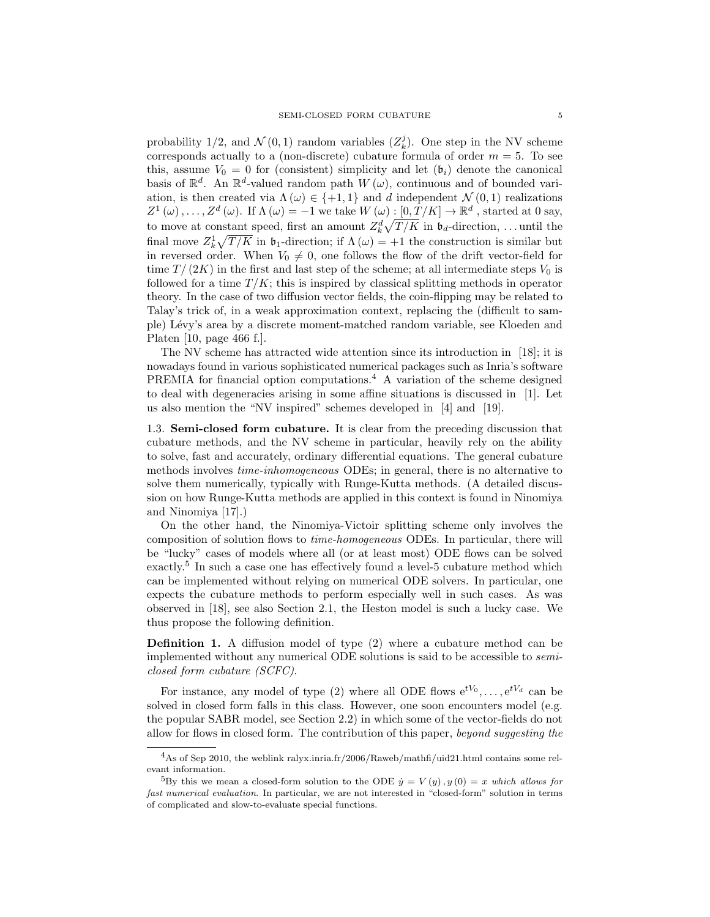probability 1/2, and  $\mathcal{N}(0,1)$  random variables  $(Z_k^j)$ . One step in the NV scheme corresponds actually to a (non-discrete) cubature formula of order  $m = 5$ . To see this, assume  $V_0 = 0$  for (consistent) simplicity and let  $(\mathfrak{b}_i)$  denote the canonical basis of  $\mathbb{R}^d$ . An  $\mathbb{R}^d$ -valued random path  $W(\omega)$ , continuous and of bounded variation, is then created via  $\Lambda(\omega) \in \{+1,1\}$  and d independent  $\mathcal{N}(0,1)$  realizations  $Z^1(\omega), \ldots, Z^d(\omega)$ . If  $\Lambda(\omega) = -1$  we take  $W(\omega) : [0, T/K] \to \mathbb{R}^d$ , started at 0 say, to move at constant speed, first an amount  $Z_k^d \sqrt{T/K}$  in  $\mathfrak{b}_d$ -direction, ... until the final move  $Z_k^1\sqrt{T/K}$  in  $\mathfrak{b}_1$ -direction; if  $\Lambda(\omega) = +1$  the construction is similar but in reversed order. When  $V_0 \neq 0$ , one follows the flow of the drift vector-field for time  $T/(2K)$  in the first and last step of the scheme; at all intermediate steps  $V_0$  is followed for a time  $T/K$ ; this is inspired by classical splitting methods in operator theory. In the case of two diffusion vector fields, the coin-flipping may be related to Talay's trick of, in a weak approximation context, replacing the (difficult to sample) L´evy's area by a discrete moment-matched random variable, see Kloeden and Platen [10, page 466 f.].

The NV scheme has attracted wide attention since its introduction in [18]; it is nowadays found in various sophisticated numerical packages such as Inria's software PREMIA for financial option computations.<sup>4</sup> A variation of the scheme designed to deal with degeneracies arising in some affine situations is discussed in [1]. Let us also mention the "NV inspired" schemes developed in [4] and [19].

1.3. Semi-closed form cubature. It is clear from the preceding discussion that cubature methods, and the NV scheme in particular, heavily rely on the ability to solve, fast and accurately, ordinary differential equations. The general cubature methods involves time-inhomogeneous ODEs; in general, there is no alternative to solve them numerically, typically with Runge-Kutta methods. (A detailed discussion on how Runge-Kutta methods are applied in this context is found in Ninomiya and Ninomiya [17].)

On the other hand, the Ninomiya-Victoir splitting scheme only involves the composition of solution flows to time-homogeneous ODEs. In particular, there will be "lucky" cases of models where all (or at least most) ODE flows can be solved exactly.<sup>5</sup> In such a case one has effectively found a level-5 cubature method which can be implemented without relying on numerical ODE solvers. In particular, one expects the cubature methods to perform especially well in such cases. As was observed in [18], see also Section 2.1, the Heston model is such a lucky case. We thus propose the following definition.

Definition 1. A diffusion model of type (2) where a cubature method can be implemented without any numerical ODE solutions is said to be accessible to semiclosed form cubature (SCFC).

For instance, any model of type (2) where all ODE flows  $e^{tV_0}, \ldots, e^{tV_d}$  can be solved in closed form falls in this class. However, one soon encounters model (e.g. the popular SABR model, see Section 2.2) in which some of the vector-fields do not allow for flows in closed form. The contribution of this paper, beyond suggesting the

<sup>4</sup>As of Sep 2010, the weblink ralyx.inria.fr/2006/Raweb/mathfi/uid21.html contains some relevant information.

<sup>&</sup>lt;sup>5</sup>By this we mean a closed-form solution to the ODE  $\dot{y} = V(y), y(0) = x$  which allows for fast numerical evaluation. In particular, we are not interested in "closed-form" solution in terms of complicated and slow-to-evaluate special functions.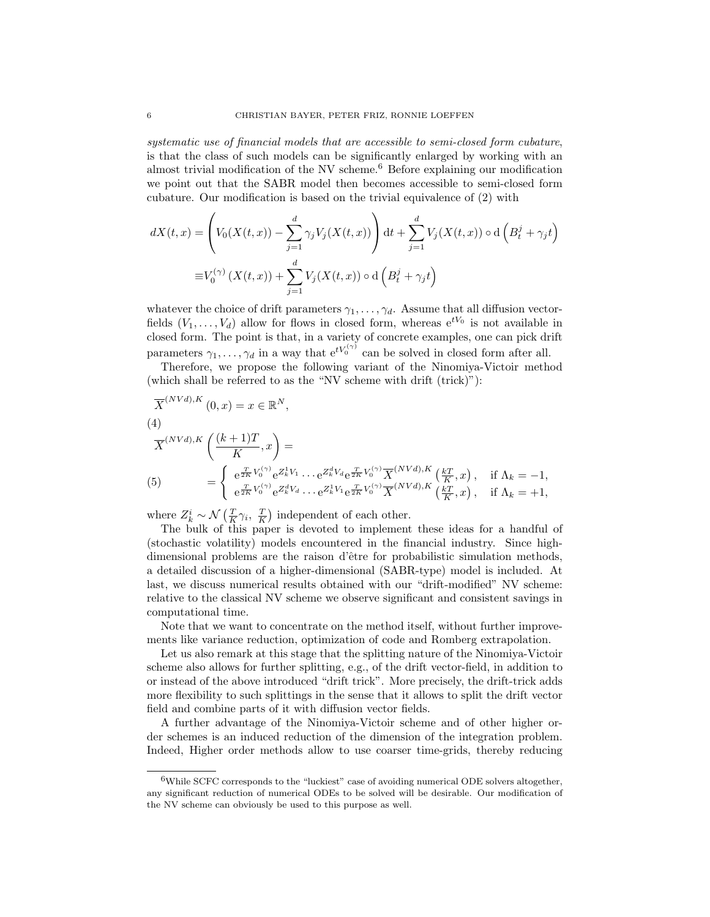systematic use of financial models that are accessible to semi-closed form cubature, is that the class of such models can be significantly enlarged by working with an almost trivial modification of the NV scheme.<sup>6</sup> Before explaining our modification we point out that the SABR model then becomes accessible to semi-closed form cubature. Our modification is based on the trivial equivalence of (2) with

$$
dX(t,x) = \left(V_0(X(t,x)) - \sum_{j=1}^d \gamma_j V_j(X(t,x))\right) dt + \sum_{j=1}^d V_j(X(t,x)) \circ d\left(B_t^j + \gamma_j t\right)
$$

$$
\equiv V_0^{(\gamma)}\left(X(t,x)\right) + \sum_{j=1}^d V_j(X(t,x)) \circ d\left(B_t^j + \gamma_j t\right)
$$

whatever the choice of drift parameters  $\gamma_1, \ldots, \gamma_d$ . Assume that all diffusion vectorfields  $(V_1, \ldots, V_d)$  allow for flows in closed form, whereas  $e^{tV_0}$  is not available in closed form. The point is that, in a variety of concrete examples, one can pick drift parameters  $\gamma_1, \ldots, \gamma_d$  in a way that  $e^{tV_0^{(\gamma)}}$  can be solved in closed form after all.

Therefore, we propose the following variant of the Ninomiya-Victoir method (which shall be referred to as the "NV scheme with drift (trick)"):

$$
\overline{X}^{(NVd),K}(0,x) = x \in \mathbb{R}^{N},
$$
\n(4)\n
$$
\overline{X}^{(NVd),K}\left(\frac{(k+1)T}{K},x\right) =
$$
\n(5)\n
$$
= \begin{cases}\n e^{\frac{T}{2K}V_{0}^{(\gamma)}}e^{Z_{k}^{1}V_{1}}\cdots e^{Z_{k}^{d}V_{d}}e^{\frac{T}{2K}V_{0}^{(\gamma)}}\overline{X}^{(NVd),K}\left(\frac{kT}{K},x\right), & \text{if } \Lambda_{k} = -1, \\
 e^{\frac{T}{2K}V_{0}^{(\gamma)}}e^{Z_{k}^{d}V_{d}}\cdots e^{Z_{k}^{1}V_{1}}e^{\frac{T}{2K}V_{0}^{(\gamma)}}\overline{X}^{(NVd),K}\left(\frac{kT}{K},x\right), & \text{if } \Lambda_{k} = +1,\n\end{cases}
$$

where  $Z_k^i \sim \mathcal{N}\left(\frac{T}{K}\gamma_i, \frac{T}{K}\right)$  independent of each other.

The bulk of this paper is devoted to implement these ideas for a handful of (stochastic volatility) models encountered in the financial industry. Since highdimensional problems are the raison d'être for probabilistic simulation methods, a detailed discussion of a higher-dimensional (SABR-type) model is included. At last, we discuss numerical results obtained with our "drift-modified" NV scheme: relative to the classical NV scheme we observe significant and consistent savings in computational time.

Note that we want to concentrate on the method itself, without further improvements like variance reduction, optimization of code and Romberg extrapolation.

Let us also remark at this stage that the splitting nature of the Ninomiya-Victoir scheme also allows for further splitting, e.g., of the drift vector-field, in addition to or instead of the above introduced "drift trick". More precisely, the drift-trick adds more flexibility to such splittings in the sense that it allows to split the drift vector field and combine parts of it with diffusion vector fields.

A further advantage of the Ninomiya-Victoir scheme and of other higher order schemes is an induced reduction of the dimension of the integration problem. Indeed, Higher order methods allow to use coarser time-grids, thereby reducing

<sup>6</sup>While SCFC corresponds to the "luckiest" case of avoiding numerical ODE solvers altogether, any significant reduction of numerical ODEs to be solved will be desirable. Our modification of the NV scheme can obviously be used to this purpose as well.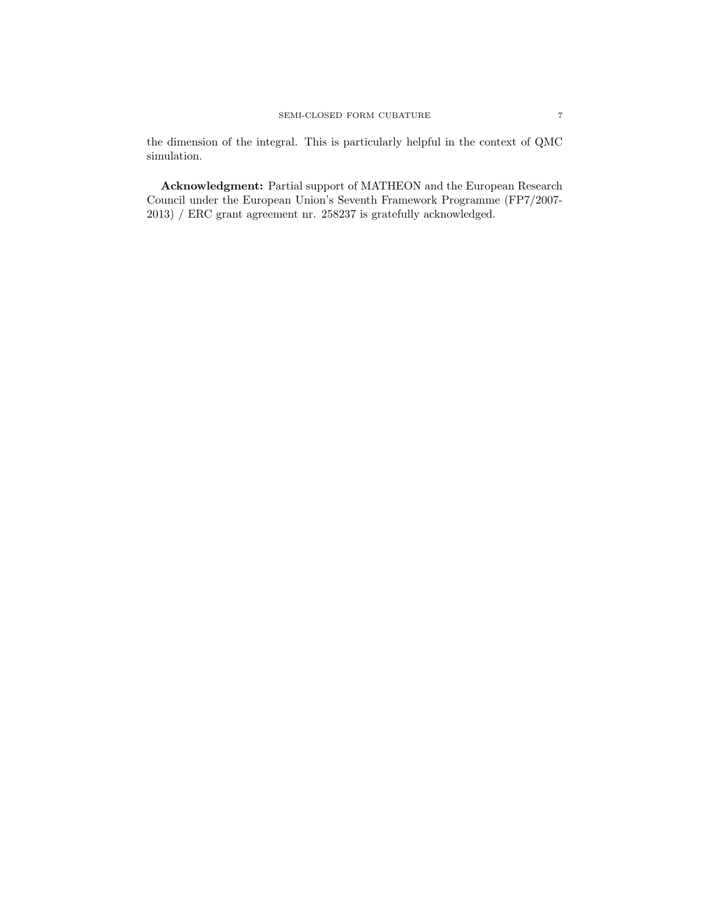the dimension of the integral. This is particularly helpful in the context of QMC simulation.

Acknowledgment: Partial support of MATHEON and the European Research Council under the European Union's Seventh Framework Programme (FP7/2007- 2013) / ERC grant agreement nr. 258237 is gratefully acknowledged.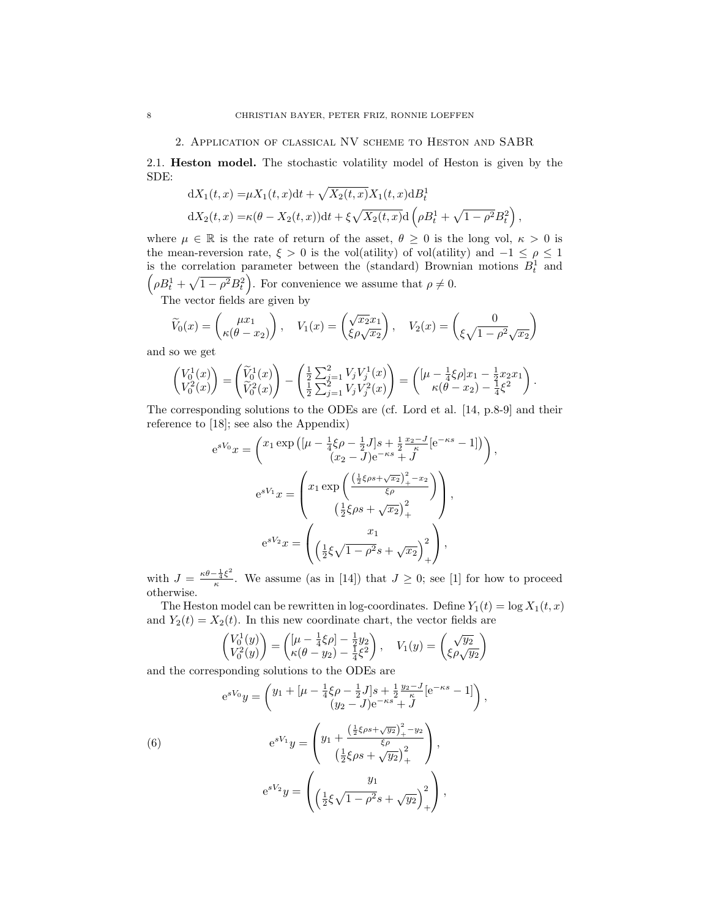### 2. Application of classical NV scheme to Heston and SABR

2.1. Heston model. The stochastic volatility model of Heston is given by the SDE:

$$
dX_1(t,x) = \mu X_1(t,x)dt + \sqrt{X_2(t,x)}X_1(t,x)dB_t^1
$$
  

$$
dX_2(t,x) = \kappa(\theta - X_2(t,x))dt + \xi \sqrt{X_2(t,x)}d\left(\rho B_t^1 + \sqrt{1 - \rho^2}B_t^2\right),
$$

where  $\mu \in \mathbb{R}$  is the rate of return of the asset,  $\theta \geq 0$  is the long vol,  $\kappa > 0$  is the mean-reversion rate,  $\xi > 0$  is the vol(atility) of vol(atility) and  $-1 \leq \rho \leq 1$ is the correlation parameter between the (standard) Brownian motions  $B_t^1$  and  $(\rho B_t^1 + \sqrt{1-\rho^2}B_t^2)$ . For convenience we assume that  $\rho \neq 0$ .

The vector fields are given by

$$
\widetilde{V}_0(x) = \begin{pmatrix} \mu x_1 \\ \kappa(\theta - x_2) \end{pmatrix}, \quad V_1(x) = \begin{pmatrix} \sqrt{x_2} x_1 \\ \xi \rho \sqrt{x_2} \end{pmatrix}, \quad V_2(x) = \begin{pmatrix} 0 \\ \xi \sqrt{1 - \rho^2} \sqrt{x_2} \end{pmatrix}
$$

and so we get

$$
\begin{pmatrix} V_0^1(x) \\ V_0^2(x) \end{pmatrix} = \begin{pmatrix} \widetilde{V}_0^1(x) \\ \widetilde{V}_0^2(x) \end{pmatrix} - \begin{pmatrix} \frac{1}{2} \sum_{j=1}^2 V_j V_j^1(x) \\ \frac{1}{2} \sum_{j=1}^2 V_j V_j^2(x) \end{pmatrix} = \begin{pmatrix} [\mu - \frac{1}{4} \xi \rho] x_1 - \frac{1}{2} x_2 x_1 \\ \kappa (\theta - x_2) - \frac{1}{4} \xi^2 \end{pmatrix}.
$$

The corresponding solutions to the ODEs are (cf. Lord et al. [14, p.8-9] and their reference to [18]; see also the Appendix)

$$
e^{sV_0}x = \begin{pmatrix} x_1 \exp\left( [\mu - \frac{1}{4}\xi \rho - \frac{1}{2}J]s + \frac{1}{2} \frac{x_2 - J}{\kappa} [e^{-\kappa s} - 1] \right) \\ (x_2 - J)e^{-\kappa s} + J \end{pmatrix},
$$

$$
e^{sV_1}x = \begin{pmatrix} x_1 \exp\left( \frac{(\frac{1}{2}\xi \rho s + \sqrt{x_2})^2 - x_2}{\xi \rho} \right) \\ (\frac{1}{2}\xi \rho s + \sqrt{x_2})^2 + \end{pmatrix},
$$

$$
e^{sV_2}x = \begin{pmatrix} x_1 \\ (\frac{1}{2}\xi \sqrt{1 - \rho^2} s + \sqrt{x_2})^2 + \end{pmatrix},
$$

with  $J = \frac{\kappa \theta - \frac{1}{4} \xi^2}{\kappa}$  $\frac{z-\overline{z}}{\kappa}$ . We assume (as in [14]) that  $J \geq 0$ ; see [1] for how to proceed otherwise.

The Heston model can be rewritten in log-coordinates. Define  $Y_1(t) = \log X_1(t, x)$ and  $Y_2(t) = X_2(t)$ . In this new coordinate chart, the vector fields are

$$
\begin{pmatrix} V_0^1(y) \\ V_0^2(y) \end{pmatrix} = \begin{pmatrix} [\mu - \frac{1}{4}\xi \rho] - \frac{1}{2}y_2 \\ \kappa(\theta - y_2) - \frac{1}{4}\xi^2 \end{pmatrix}, \quad V_1(y) = \begin{pmatrix} \sqrt{y_2} \\ \xi \rho \sqrt{y_2} \end{pmatrix}
$$

,

and the corresponding solutions to the ODEs are

$$
e^{sV_0}y = \left(\begin{array}{c} y_1 + \left[\mu - \frac{1}{4}\xi\rho - \frac{1}{2}J\right]s + \frac{1}{2}\frac{y_2 - J}{\kappa}\left[e^{-\kappa s} - 1\right] \\ (y_2 - J)e^{-\kappa s} + J \end{array}\right)
$$
  
(6)  

$$
e^{sV_1}y = \left(\begin{array}{c} y_1 + \frac{\left(\frac{1}{2}\xi\rho s + \sqrt{y_2}\right)^2 - y_2}{\xi\rho} \\ \left(\frac{1}{2}\xi\rho s + \sqrt{y_2}\right)^2_+\end{array}\right),
$$
  

$$
e^{sV_2}y = \left(\frac{y_1}{\left(\frac{1}{2}\xi\sqrt{1 - \rho^2}s + \sqrt{y_2}\right)^2_+\right),
$$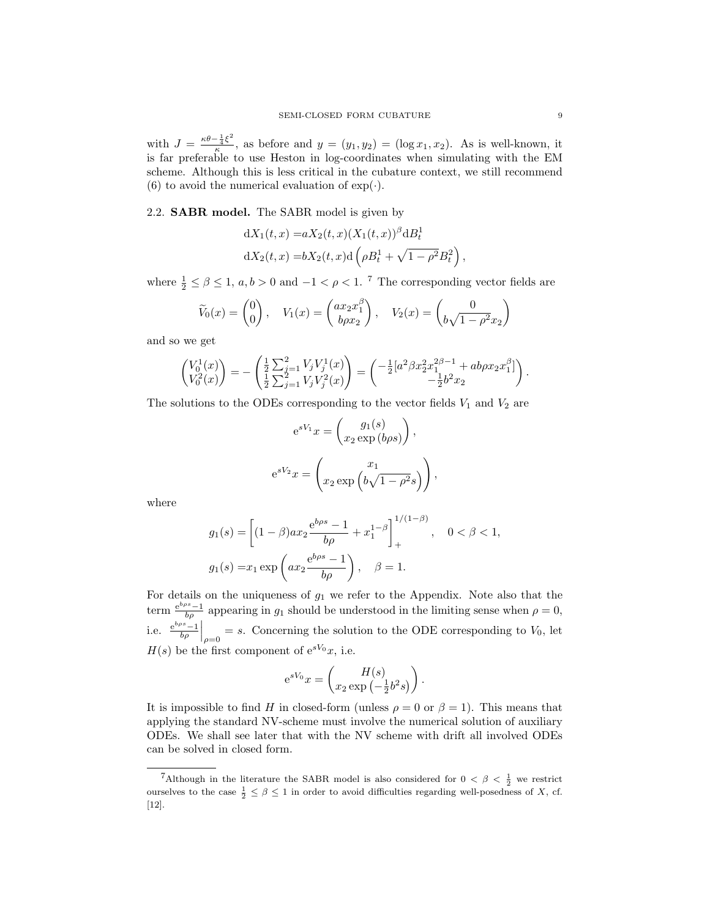with  $J = \frac{\kappa \theta - \frac{1}{4} \xi^2}{\kappa}$  $\frac{-\overline{a} \cdot \overline{b}}{k}$ , as before and  $y = (y_1, y_2) = (\log x_1, x_2)$ . As is well-known, it is far preferable to use Heston in log-coordinates when simulating with the EM scheme. Although this is less critical in the cubature context, we still recommend (6) to avoid the numerical evaluation of  $\exp(\cdot)$ .

2.2. SABR model. The SABR model is given by

$$
dX_1(t, x) = aX_2(t, x)(X_1(t, x))^{\beta}dB_t^1
$$
  

$$
dX_2(t, x) = bX_2(t, x)d\left(\rho B_t^1 + \sqrt{1 - \rho^2}B_t^2\right)
$$

,

where  $\frac{1}{2} \le \beta \le 1$ ,  $a, b > 0$  and  $-1 < \rho < 1$ . <sup>7</sup> The corresponding vector fields are

$$
\widetilde{V}_0(x) = \begin{pmatrix} 0 \\ 0 \end{pmatrix}, \quad V_1(x) = \begin{pmatrix} ax_2x_1^{\beta} \\ b\rho x_2 \end{pmatrix}, \quad V_2(x) = \begin{pmatrix} 0 \\ b\sqrt{1-\rho^2}x_2 \end{pmatrix}
$$

and so we get

$$
\begin{pmatrix} V_0^1(x) \\ V_0^2(x) \end{pmatrix} = -\begin{pmatrix} \frac{1}{2} \sum_{j=1}^2 V_j V_j^1(x) \\ \frac{1}{2} \sum_{j=1}^2 V_j V_j^2(x) \end{pmatrix} = \begin{pmatrix} -\frac{1}{2} [a^2 \beta x_2^2 x_1^{2\beta - 1} + ab\rho x_2 x_1^{\beta}] \\ -\frac{1}{2} b^2 x_2 \end{pmatrix}.
$$

The solutions to the ODEs corresponding to the vector fields  $V_1$  and  $V_2$  are

$$
e^{sV_1}x = \begin{pmatrix} g_1(s) \\ x_2 \exp(b\rho s) \end{pmatrix},
$$

$$
e^{sV_2}x = \begin{pmatrix} x_1 \\ x_2 \exp(b\sqrt{1-\rho^2}s) \end{pmatrix},
$$

where

$$
g_1(s) = \left[ (1 - \beta) a x_2 \frac{e^{b\rho s} - 1}{b\rho} + x_1^{1-\beta} \right]_+^{1/(1-\beta)}, \quad 0 < \beta < 1,
$$
  

$$
g_1(s) = x_1 \exp\left( a x_2 \frac{e^{b\rho s} - 1}{b\rho} \right), \quad \beta = 1.
$$

For details on the uniqueness of  $g_1$  we refer to the Appendix. Note also that the term  $\frac{e^{b\rho s}-1}{b\rho}$  appearing in  $g_1$  should be understood in the limiting sense when  $\rho=0$ , i.e.  $\frac{e^{b\rho s}-1}{b\rho}\Big|_{\rho=0} = s$ . Concerning the solution to the ODE corresponding to  $V_0$ , let  $H(s)$  be the first component of  $e^{sV_0}x$ , i.e.

$$
e^{sV_0}x = \begin{pmatrix} H(s) \\ x_2 \exp\left(-\frac{1}{2}b^2s\right) \end{pmatrix}.
$$

It is impossible to find H in closed-form (unless  $\rho = 0$  or  $\beta = 1$ ). This means that applying the standard NV-scheme must involve the numerical solution of auxiliary ODEs. We shall see later that with the NV scheme with drift all involved ODEs can be solved in closed form.

<sup>&</sup>lt;sup>7</sup>Although in the literature the SABR model is also considered for  $0 < \beta < \frac{1}{2}$  we restrict ourselves to the case  $\frac{1}{2} \leq \beta \leq 1$  in order to avoid difficulties regarding well-posedness of X, cf. [12].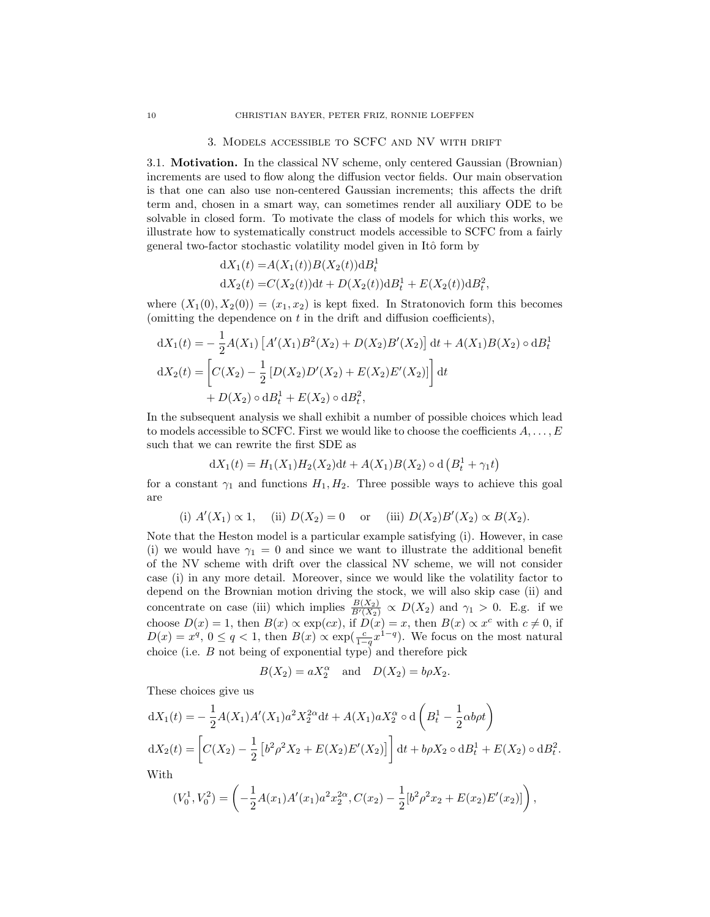#### 3. Models accessible to SCFC and NV with drift

3.1. Motivation. In the classical NV scheme, only centered Gaussian (Brownian) increments are used to flow along the diffusion vector fields. Our main observation is that one can also use non-centered Gaussian increments; this affects the drift term and, chosen in a smart way, can sometimes render all auxiliary ODE to be solvable in closed form. To motivate the class of models for which this works, we illustrate how to systematically construct models accessible to SCFC from a fairly general two-factor stochastic volatility model given in Itô form by

$$
dX_1(t) = A(X_1(t))B(X_2(t))dB_t^1
$$
  

$$
dX_2(t) = C(X_2(t))dt + D(X_2(t))dB_t^1 + E(X_2(t))dB_t^2,
$$

where  $(X_1(0), X_2(0)) = (x_1, x_2)$  is kept fixed. In Stratonovich form this becomes (omitting the dependence on  $t$  in the drift and diffusion coefficients),

$$
dX_1(t) = -\frac{1}{2}A(X_1)\left[A'(X_1)B^2(X_2) + D(X_2)B'(X_2)\right]dt + A(X_1)B(X_2) \circ dB_t^1
$$
  

$$
dX_2(t) = \left[C(X_2) - \frac{1}{2}\left[D(X_2)D'(X_2) + E(X_2)E'(X_2)\right]\right]dt
$$
  

$$
+ D(X_2) \circ dB_t^1 + E(X_2) \circ dB_t^2,
$$

In the subsequent analysis we shall exhibit a number of possible choices which lead to models accessible to SCFC. First we would like to choose the coefficients  $A, \ldots, E$ such that we can rewrite the first SDE as

$$
dX_1(t) = H_1(X_1)H_2(X_2)dt + A(X_1)B(X_2) \circ d(B_t^1 + \gamma_1 t)
$$

for a constant  $\gamma_1$  and functions  $H_1, H_2$ . Three possible ways to achieve this goal are

(i) 
$$
A'(X_1) \propto 1
$$
, (ii)  $D(X_2) = 0$  or (iii)  $D(X_2)B'(X_2) \propto B(X_2)$ .

Note that the Heston model is a particular example satisfying (i). However, in case (i) we would have  $\gamma_1 = 0$  and since we want to illustrate the additional benefit of the NV scheme with drift over the classical NV scheme, we will not consider case (i) in any more detail. Moreover, since we would like the volatility factor to depend on the Brownian motion driving the stock, we will also skip case (ii) and concentrate on case (iii) which implies  $\frac{B(X_2)}{B'(X_2)} \propto D(X_2)$  and  $\gamma_1 > 0$ . E.g. if we choose  $D(x) = 1$ , then  $B(x) \propto \exp(cx)$ , if  $D(x) = x$ , then  $B(x) \propto x^c$  with  $c \neq 0$ , if  $D(x) = x^q$ ,  $0 \le q < 1$ , then  $B(x) \propto \exp(\frac{c}{1-q}x^{1-q})$ . We focus on the most natural choice (i.e. B not being of exponential type) and therefore pick

$$
B(X_2) = aX_2^{\alpha} \quad \text{and} \quad D(X_2) = b\rho X_2.
$$

These choices give us

$$
dX_1(t) = -\frac{1}{2}A(X_1)A'(X_1)a^2 X_2^{2\alpha} dt + A(X_1)a X_2^{\alpha} \circ d\left(B_t^1 - \frac{1}{2}\alpha b\rho t\right)
$$
  

$$
dX_2(t) = \left[C(X_2) - \frac{1}{2}\left[b^2\rho^2 X_2 + E(X_2)E'(X_2)\right]\right]dt + b\rho X_2 \circ dB_t^1 + E(X_2) \circ dB_t^2.
$$

With

$$
(V_0^1, V_0^2) = \left(-\frac{1}{2}A(x_1)A'(x_1)a^2x_2^{2\alpha}, C(x_2) - \frac{1}{2}[b^2\rho^2x_2 + E(x_2)E'(x_2)]\right),
$$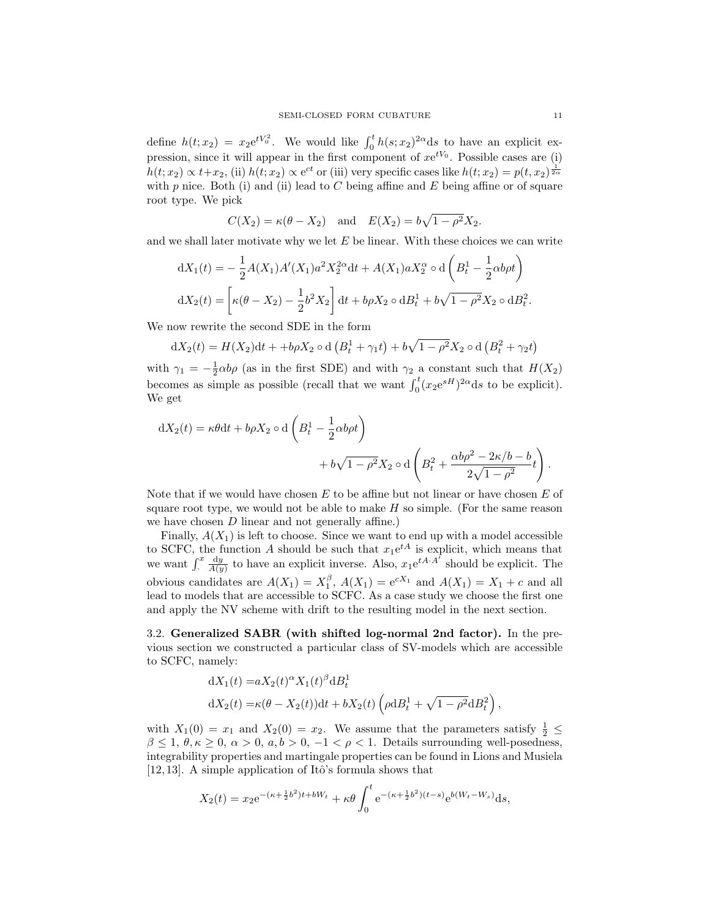define  $h(t; x_2) = x_2 e^{tV_0^2}$ . We would like  $\int_0^t h(s; x_2)^{2\alpha} ds$  to have an explicit expression, since it will appear in the first component of  $xe^{tV_0}$ . Possible cases are (i)  $h(t; x_2) \propto t + x_2$ , (ii)  $h(t; x_2) \propto e^{ct}$  or (iii) very specific cases like  $h(t; x_2) = p(t, x_2)^{\frac{1}{2\alpha}}$ with  $p$  nice. Both (i) and (ii) lead to  $C$  being affine and  $E$  being affine or of square root type. We pick

$$
C(X_2) = \kappa(\theta - X_2)
$$
 and  $E(X_2) = b\sqrt{1 - \rho^2}X_2$ .

and we shall later motivate why we let  $E$  be linear. With these choices we can write

$$
dX_1(t) = -\frac{1}{2}A(X_1)A'(X_1)a^2 X_2^{2\alpha} dt + A(X_1)a X_2^{\alpha} \circ d\left(B_t^1 - \frac{1}{2}\alpha b\rho t\right)
$$
  

$$
dX_2(t) = \left[\kappa(\theta - X_2) - \frac{1}{2}b^2 X_2\right]dt + b\rho X_2 \circ dB_t^1 + b\sqrt{1 - \rho^2}X_2 \circ dB_t^2.
$$

We now rewrite the second SDE in the form

$$
dX_2(t) = H(X_2)dt + b\rho X_2 \circ d (B_t^1 + \gamma_1 t) + b\sqrt{1 - \rho^2} X_2 \circ d (B_t^2 + \gamma_2 t)
$$

with  $\gamma_1 = -\frac{1}{2} \alpha b \rho$  (as in the first SDE) and with  $\gamma_2$  a constant such that  $H(X_2)$ becomes as simple as possible (recall that we want  $\int_0^t (x_2 e^{sH})^{2\alpha} ds$  to be explicit). We get

$$
dX_2(t) = \kappa \theta dt + b\rho X_2 \circ d\left(B_t^1 - \frac{1}{2}\alpha b\rho t\right)
$$

$$
+ b\sqrt{1 - \rho^2}X_2 \circ d\left(B_t^2 + \frac{\alpha b\rho^2 - 2\kappa/b - b}{2\sqrt{1 - \rho^2}}t\right).
$$

Note that if we would have chosen  $E$  to be affine but not linear or have chosen  $E$  of square root type, we would not be able to make  $H$  so simple. (For the same reason we have chosen D linear and not generally affine.)

Finally,  $A(X_1)$  is left to choose. Since we want to end up with a model accessible to SCFC, the function A should be such that  $x_1e^{tA}$  is explicit, which means that we want  $\int_{a}^{x} \frac{dy}{A(y)}$  to have an explicit inverse. Also,  $x_1 e^{tA \cdot A^T}$  should be explicit. The obvious candidates are  $A(X_1) = X_1^{\beta}$ ,  $A(X_1) = e^{cX_1}$  and  $A(X_1) = X_1 + c$  and all lead to models that are accessible to SCFC. As a case study we choose the first one and apply the NV scheme with drift to the resulting model in the next section.

3.2. Generalized SABR (with shifted log-normal 2nd factor). In the previous section we constructed a particular class of SV-models which are accessible to SCFC, namely:

$$
dX_1(t) = aX_2(t)^{\alpha} X_1(t)^{\beta} dB_t^1
$$
  
\n
$$
dX_2(t) = \kappa(\theta - X_2(t))dt + bX_2(t)\left(\rho dB_t^1 + \sqrt{1 - \rho^2} dB_t^2\right),
$$

with  $X_1(0) = x_1$  and  $X_2(0) = x_2$ . We assume that the parameters satisfy  $\frac{1}{2} \leq$  $\beta \leq 1, \theta, \kappa \geq 0, \alpha > 0, a, b > 0, -1 < \rho < 1.$  Details surrounding well-posedness, integrability properties and martingale properties can be found in Lions and Musiela [12, 13]. A simple application of Itô's formula shows that

$$
X_2(t) = x_2 e^{-(\kappa + \frac{1}{2}b^2)t + bW_t} + \kappa \theta \int_0^t e^{-(\kappa + \frac{1}{2}b^2)(t-s)} e^{b(W_t - W_s)} ds,
$$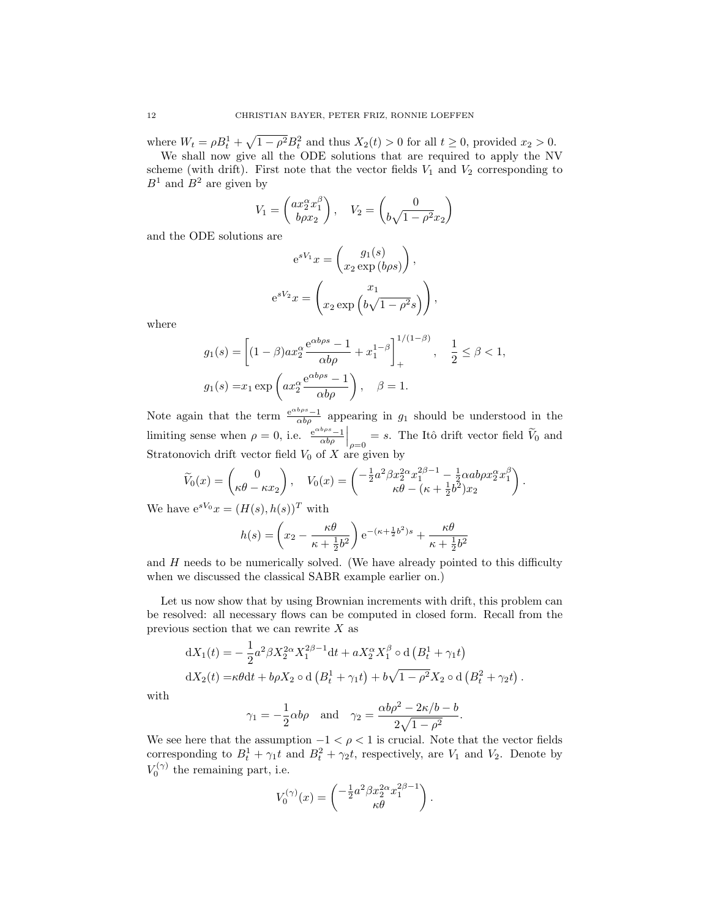where  $W_t = \rho B_t^1 + \sqrt{1 - \rho^2} B_t^2$  and thus  $X_2(t) > 0$  for all  $t \ge 0$ , provided  $x_2 > 0$ . We shall now give all the ODE solutions that are required to apply the NV

scheme (with drift). First note that the vector fields  $V_1$  and  $V_2$  corresponding to  $B^1$  and  $B^2$  are given by

$$
V_1 = \begin{pmatrix} ax_2^{\alpha}x_1^{\beta} \\ b\rho x_2 \end{pmatrix}, \quad V_2 = \begin{pmatrix} 0 \\ b\sqrt{1-\rho^2}x_2 \end{pmatrix}
$$

and the ODE solutions are

$$
e^{sV_1}x = \begin{pmatrix} g_1(s) \\ x_2 \exp(b\rho s) \end{pmatrix},
$$

$$
e^{sV_2}x = \begin{pmatrix} x_1 \\ x_2 \exp\left(b\sqrt{1-\rho^2}s\right) \end{pmatrix},
$$

where

$$
g_1(s) = \left[ (1 - \beta) a x_2^{\alpha} \frac{e^{\alpha b \rho s} - 1}{\alpha b \rho} + x_1^{1 - \beta} \right]_+^{1/(1 - \beta)}, \quad \frac{1}{2} \le \beta < 1,
$$
  

$$
g_1(s) = x_1 \exp\left( a x_2^{\alpha} \frac{e^{\alpha b \rho s} - 1}{\alpha b \rho} \right), \quad \beta = 1.
$$

Note again that the term  $\frac{e^{\alpha b \rho s}-1}{\alpha b \rho}$  appearing in  $g_1$  should be understood in the limiting sense when  $\rho = 0$ , i.e.  $\frac{e^{\alpha b \rho s} - 1}{\alpha b \rho} \bigg|_{\rho=0} = s$ . The Itô drift vector field  $\widetilde{V}_0$  and Stratonovich drift vector field  $V_0$  of X are given by

$$
\widetilde{V}_0(x) = \begin{pmatrix} 0 \\ \kappa \theta - \kappa x_2 \end{pmatrix}, \quad V_0(x) = \begin{pmatrix} -\frac{1}{2} a^2 \beta x_2^{2\alpha} x_1^{2\beta - 1} - \frac{1}{2} \alpha a b \rho x_2^{\alpha} x_1^{\beta} \\ \kappa \theta - (\kappa + \frac{1}{2} b^2) x_2 \end{pmatrix}.
$$

We have  $e^{sV_0}x = (H(s), h(s))^T$  with

$$
h(s) = \left(x_2 - \frac{\kappa \theta}{\kappa + \frac{1}{2}b^2}\right) e^{-(\kappa + \frac{1}{2}b^2)s} + \frac{\kappa \theta}{\kappa + \frac{1}{2}b^2}
$$

and  $H$  needs to be numerically solved. (We have already pointed to this difficulty when we discussed the classical SABR example earlier on.)

Let us now show that by using Brownian increments with drift, this problem can be resolved: all necessary flows can be computed in closed form. Recall from the previous section that we can rewrite  $X$  as

$$
dX_1(t) = -\frac{1}{2}a^2 \beta X_2^{2\alpha} X_1^{2\beta - 1} dt + aX_2^{\alpha} X_1^{\beta} \circ d (B_t^1 + \gamma_1 t)
$$
  

$$
dX_2(t) = \kappa \theta dt + b\rho X_2 \circ d (B_t^1 + \gamma_1 t) + b\sqrt{1 - \rho^2} X_2 \circ d (B_t^2 + \gamma_2 t).
$$

with

$$
\gamma_1 = -\frac{1}{2}\alpha b\rho
$$
 and  $\gamma_2 = \frac{\alpha b\rho^2 - 2\kappa/b - b}{2\sqrt{1 - \rho^2}}$ .

We see here that the assumption  $-1 < \rho < 1$  is crucial. Note that the vector fields corresponding to  $B_t^1 + \gamma_1 t$  and  $B_t^2 + \gamma_2 t$ , respectively, are  $V_1$  and  $V_2$ . Denote by  $V_0^{(\gamma)}$  the remaining part, i.e.

$$
V_0^{(\gamma)}(x) = \begin{pmatrix} -\frac{1}{2}a^2 \beta x_2^{2\alpha} x_1^{2\beta - 1} \\ \kappa \theta \end{pmatrix}.
$$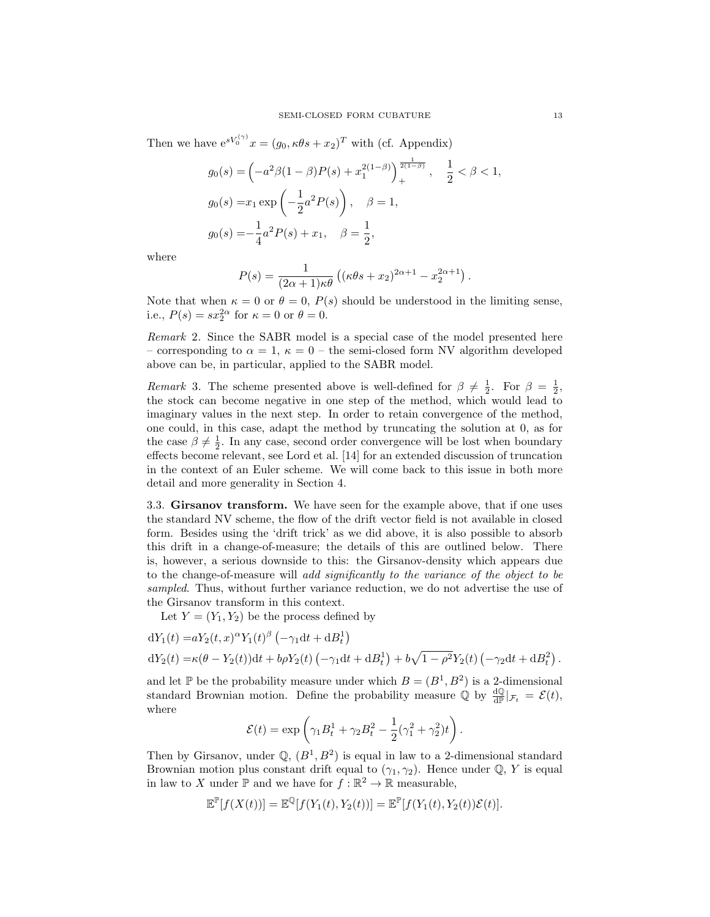Then we have  $e^{sV_0^{(\gamma)}}x = (g_0, \kappa\theta s + x_2)^T$  with (cf. Appendix)

$$
g_0(s) = \left(-a^2\beta(1-\beta)P(s) + x_1^{2(1-\beta)}\right)_+^{\frac{1}{2(1-\beta)}}, \quad \frac{1}{2} < \beta < 1,
$$
  
\n
$$
g_0(s) = x_1 \exp\left(-\frac{1}{2}a^2P(s)\right), \quad \beta = 1,
$$
  
\n
$$
g_0(s) = -\frac{1}{4}a^2P(s) + x_1, \quad \beta = \frac{1}{2},
$$

where

$$
P(s) = \frac{1}{(2\alpha + 1)\kappa\theta} \left( (\kappa\theta s + x_2)^{2\alpha + 1} - x_2^{2\alpha + 1} \right).
$$

Note that when  $\kappa = 0$  or  $\theta = 0$ ,  $P(s)$  should be understood in the limiting sense, i.e.,  $P(s) = sx_2^{2\alpha}$  for  $\kappa = 0$  or  $\theta = 0$ .

Remark 2. Since the SABR model is a special case of the model presented here – corresponding to  $\alpha = 1$ ,  $\kappa = 0$  – the semi-closed form NV algorithm developed above can be, in particular, applied to the SABR model.

Remark 3. The scheme presented above is well-defined for  $\beta \neq \frac{1}{2}$ . For  $\beta = \frac{1}{2}$ , the stock can become negative in one step of the method, which would lead to imaginary values in the next step. In order to retain convergence of the method, one could, in this case, adapt the method by truncating the solution at 0, as for the case  $\beta \neq \frac{1}{2}$ . In any case, second order convergence will be lost when boundary effects become relevant, see Lord et al. [14] for an extended discussion of truncation in the context of an Euler scheme. We will come back to this issue in both more detail and more generality in Section 4.

3.3. Girsanov transform. We have seen for the example above, that if one uses the standard NV scheme, the flow of the drift vector field is not available in closed form. Besides using the 'drift trick' as we did above, it is also possible to absorb this drift in a change-of-measure; the details of this are outlined below. There is, however, a serious downside to this: the Girsanov-density which appears due to the change-of-measure will add significantly to the variance of the object to be sampled. Thus, without further variance reduction, we do not advertise the use of the Girsanov transform in this context.

Let  $Y = (Y_1, Y_2)$  be the process defined by

$$
dY_1(t) = aY_2(t, x)^{\alpha} Y_1(t)^{\beta} \left(-\gamma_1 dt + dB_t^1\right)
$$
  

$$
dY_2(t) = \kappa(\theta - Y_2(t))dt + b\rho Y_2(t) \left(-\gamma_1 dt + dB_t^1\right) + b\sqrt{1 - \rho^2}Y_2(t) \left(-\gamma_2 dt + dB_t^2\right)
$$

and let P be the probability measure under which  $B = (B^1, B^2)$  is a 2-dimensional standard Brownian motion. Define the probability measure  $\hat{\mathbb{Q}}$  by  $\frac{d\mathbb{Q}}{d\mathbb{P}}|_{\mathcal{F}_t} = \mathcal{E}(t)$ , where

$$
\mathcal{E}(t) = \exp\left(\gamma_1 B_t^1 + \gamma_2 B_t^2 - \frac{1}{2}(\gamma_1^2 + \gamma_2^2)t\right).
$$

Then by Girsanov, under  $\mathbb{Q}$ ,  $(B^1, B^2)$  is equal in law to a 2-dimensional standard Brownian motion plus constant drift equal to  $(\gamma_1, \gamma_2)$ . Hence under Q, Y is equal in law to X under  $\mathbb P$  and we have for  $f : \mathbb{R}^2 \to \mathbb{R}$  measurable,

$$
\mathbb{E}^{\mathbb{P}}[f(X(t))] = \mathbb{E}^{\mathbb{Q}}[f(Y_1(t), Y_2(t))] = \mathbb{E}^{\mathbb{P}}[f(Y_1(t), Y_2(t))\mathcal{E}(t)].
$$

.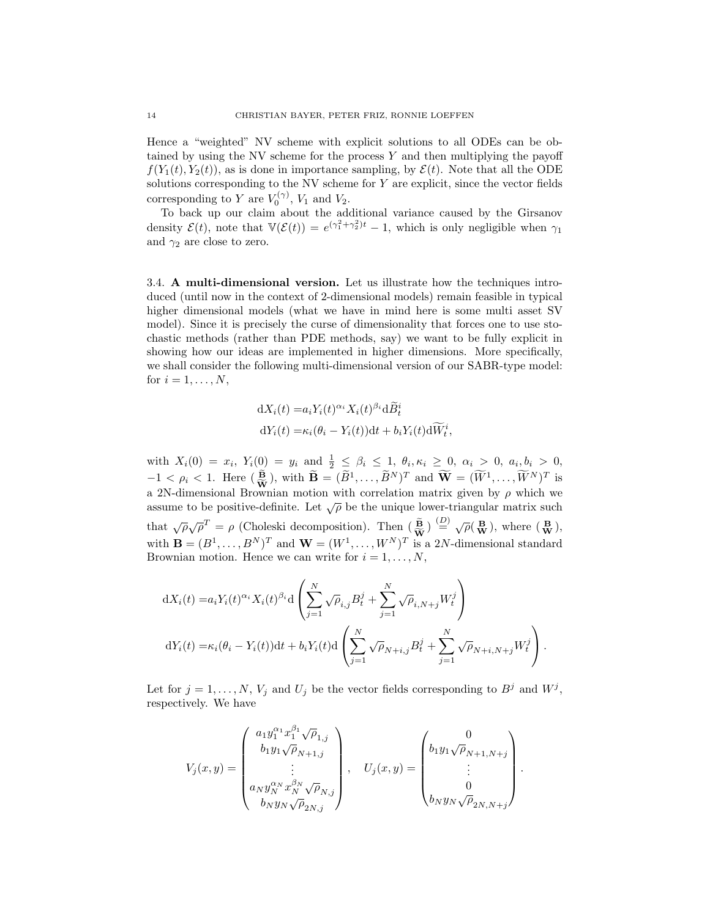Hence a "weighted" NV scheme with explicit solutions to all ODEs can be obtained by using the NV scheme for the process  $Y$  and then multiplying the payoff  $f(Y_1(t), Y_2(t))$ , as is done in importance sampling, by  $\mathcal{E}(t)$ . Note that all the ODE solutions corresponding to the NV scheme for Y are explicit, since the vector fields corresponding to Y are  $V_0^{(\gamma)}$ ,  $V_1$  and  $V_2$ .

To back up our claim about the additional variance caused by the Girsanov density  $\mathcal{E}(t)$ , note that  $\mathbb{V}(\mathcal{E}(t)) = e^{(\gamma_1^2 + \gamma_2^2)t} - 1$ , which is only negligible when  $\gamma_1$ and  $\gamma_2$  are close to zero.

3.4. A multi-dimensional version. Let us illustrate how the techniques introduced (until now in the context of 2-dimensional models) remain feasible in typical higher dimensional models (what we have in mind here is some multi asset SV model). Since it is precisely the curse of dimensionality that forces one to use stochastic methods (rather than PDE methods, say) we want to be fully explicit in showing how our ideas are implemented in higher dimensions. More specifically, we shall consider the following multi-dimensional version of our SABR-type model: for  $i = 1, \ldots, N$ ,

$$
dX_i(t) = a_i Y_i(t)^{\alpha_i} X_i(t)^{\beta_i} d\widetilde{B}_t^i
$$
  

$$
dY_i(t) = \kappa_i(\theta_i - Y_i(t)) dt + b_i Y_i(t) d\widetilde{W}_t^i,
$$

with  $X_i(0) = x_i$ ,  $Y_i(0) = y_i$  and  $\frac{1}{2} \le \beta_i \le 1$ ,  $\theta_i, \kappa_i \ge 0$ ,  $\alpha_i > 0$ ,  $a_i, b_i > 0$ ,  $-1 < \rho_i < 1$ . Here  $(\frac{\mathbf{B}}{\mathbf{W}})$ , with  $\mathbf{B} = (\tilde{B}^1, \dots, \tilde{B}^N)^T$  and  $\mathbf{W} = (\tilde{W}^1, \dots, \tilde{W}^N)^T$  is a 2N-dimensional Brownian motion with correlation matrix given by  $\rho$  which we assume to be positive-definite. Let  $\sqrt{\rho}$  be the unique lower-triangular matrix such that  $\sqrt{\rho} \sqrt{\rho}^T = \rho$  (Choleski decomposition). Then  $(\frac{\tilde{\mathbf{B}}}{\tilde{\mathbf{W}}}) \stackrel{(D)}{=} \sqrt{\rho} (\frac{\mathbf{B}}{\mathbf{W}})$ , where  $(\frac{\mathbf{B}}{\mathbf{W}})$ ,  $(\frac{\mathbf{B}}{\mathbf{W}}) \stackrel{(D)}{=} \sqrt{\rho} (\frac{\mathbf{B}}{\mathbf{W}})$ , where  $(\frac{\mathbf{B}}{\mathbf{W}})$ . with  $\mathbf{B} = (B^1, \ldots, B^N)^T$  and  $\mathbf{W} = (W^1, \ldots, W^N)^T$  is a 2N-dimensional standard Brownian motion. Hence we can write for  $i = 1, \ldots, N$ ,

$$
dX_i(t) = a_i Y_i(t)^{\alpha_i} X_i(t)^{\beta_i} d\left(\sum_{j=1}^N \sqrt{\rho}_{i,j} B_t^j + \sum_{j=1}^N \sqrt{\rho}_{i,N+j} W_t^j\right)
$$
  

$$
dY_i(t) = \kappa_i (\theta_i - Y_i(t)) dt + b_i Y_i(t) d\left(\sum_{j=1}^N \sqrt{\rho}_{N+i,j} B_t^j + \sum_{j=1}^N \sqrt{\rho}_{N+i,N+j} W_t^j\right).
$$

Let for  $j = 1, ..., N$ ,  $V_j$  and  $U_j$  be the vector fields corresponding to  $B^j$  and  $W^j$ , respectively. We have

$$
V_j(x,y)=\begin{pmatrix} a_1y_1^{\alpha_1}x_1^{\beta_1}\sqrt{\rho}_{1,j} \\ b_1y_1\sqrt{\rho}_{N+1,j} \\ \vdots \\ a_Ny_N^{\alpha_N}x_N^{\beta_N}\sqrt{\rho}_{N,j} \\ b_Ny_N\sqrt{\rho}_{2N,j} \end{pmatrix}, \quad U_j(x,y)=\begin{pmatrix} 0 \\ b_1y_1\sqrt{\rho}_{N+1,N+j} \\ \vdots \\ 0 \\ b_Ny_N\sqrt{\rho}_{2N,N+j} \end{pmatrix}.
$$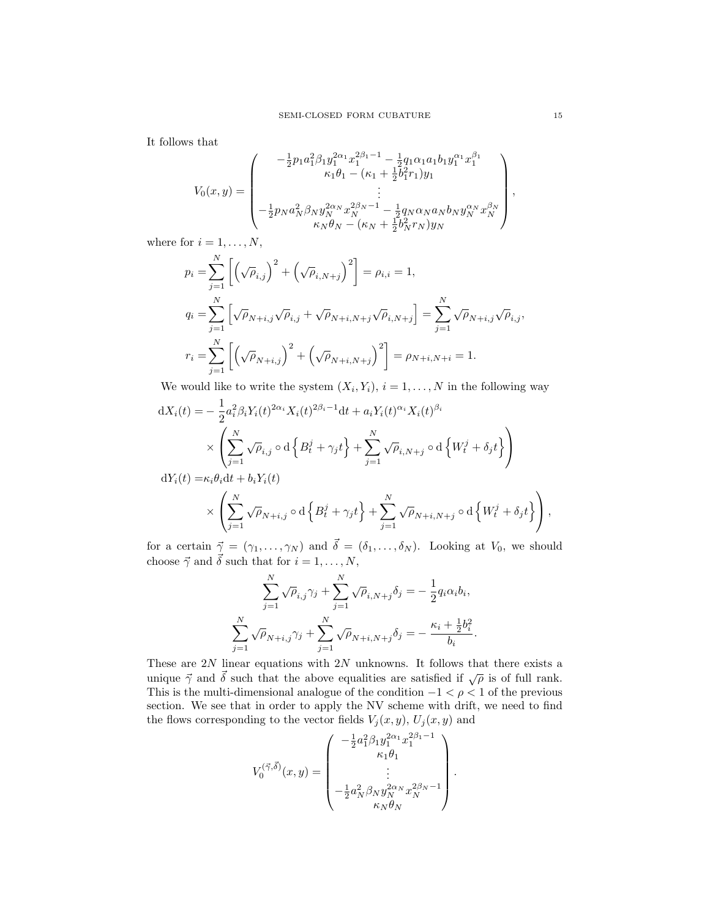It follows that

$$
V_0(x,y) = \begin{pmatrix} -\frac{1}{2}p_1 a_1^2 \beta_1 y_1^{2\alpha_1} x_1^{2\beta_1 - 1} - \frac{1}{2} q_1 \alpha_1 a_1 b_1 y_1^{\alpha_1} x_1^{\beta_1} \\ \kappa_1 \theta_1 - (\kappa_1 + \frac{1}{2} b_1^2 r_1) y_1 \\ \vdots \\ -\frac{1}{2} p_N a_N^2 \beta_N y_N^{2\alpha_N} x_N^{2\beta_N - 1} - \frac{1}{2} q_N \alpha_N a_N b_N y_N^{\alpha_N} x_N^{\beta_N} \\ \kappa_N \theta_N - (\kappa_N + \frac{1}{2} b_N^2 r_N) y_N \end{pmatrix},
$$

where for  $i = 1, \ldots, N$ ,

$$
p_i = \sum_{j=1}^{N} \left[ \left( \sqrt{\rho}_{i,j} \right)^2 + \left( \sqrt{\rho}_{i,N+j} \right)^2 \right] = \rho_{i,i} = 1,
$$
  
\n
$$
q_i = \sum_{j=1}^{N} \left[ \sqrt{\rho}_{N+i,j} \sqrt{\rho}_{i,j} + \sqrt{\rho}_{N+i,N+j} \sqrt{\rho}_{i,N+j} \right] = \sum_{j=1}^{N} \sqrt{\rho}_{N+i,j} \sqrt{\rho}_{i,j},
$$
  
\n
$$
r_i = \sum_{j=1}^{N} \left[ \left( \sqrt{\rho}_{N+i,j} \right)^2 + \left( \sqrt{\rho}_{N+i,N+j} \right)^2 \right] = \rho_{N+i,N+i} = 1.
$$

We would like to write the system  $(X_i, Y_i)$ ,  $i = 1, ..., N$  in the following way

$$
dX_i(t) = -\frac{1}{2}a_i^2 \beta_i Y_i(t)^{2\alpha_i} X_i(t)^{2\beta_i - 1} dt + a_i Y_i(t)^{\alpha_i} X_i(t)^{\beta_i}
$$
  
\n
$$
\times \left( \sum_{j=1}^N \sqrt{\rho}_{i,j} \circ d \left\{ B_i^j + \gamma_j t \right\} + \sum_{j=1}^N \sqrt{\rho}_{i,N+j} \circ d \left\{ W_i^j + \delta_j t \right\} \right)
$$
  
\n
$$
dY_i(t) = \kappa_i \theta_i dt + b_i Y_i(t)
$$
  
\n
$$
\times \left( \sum_{j=1}^N \sqrt{\rho}_{N+i,j} \circ d \left\{ B_i^j + \gamma_j t \right\} + \sum_{j=1}^N \sqrt{\rho}_{N+i,N+j} \circ d \left\{ W_i^j + \delta_j t \right\} \right),
$$

for a certain  $\vec{\gamma} = (\gamma_1, \ldots, \gamma_N)$  and  $\vec{\delta} = (\delta_1, \ldots, \delta_N)$ . Looking at  $V_0$ , we should choose  $\vec{\gamma}$  and  $\vec{\delta}$  such that for  $i = 1, \ldots, N$ ,

$$
\sum_{j=1}^N \sqrt{\rho}_{i,j} \gamma_j + \sum_{j=1}^N \sqrt{\rho}_{i,N+j} \delta_j = -\frac{1}{2} q_i \alpha_i b_i,
$$
  

$$
\sum_{j=1}^N \sqrt{\rho}_{N+i,j} \gamma_j + \sum_{j=1}^N \sqrt{\rho}_{N+i,N+j} \delta_j = -\frac{\kappa_i + \frac{1}{2} b_i^2}{b_i}.
$$

These are  $2N$  linear equations with  $2N$  unknowns. It follows that there exists a unique  $\vec{\gamma}$  and  $\vec{\delta}$  such that the above equalities are satisfied if  $\sqrt{\rho}$  is of full rank. This is the multi-dimensional analogue of the condition  $-1 < \rho < 1$  of the previous section. We see that in order to apply the NV scheme with drift, we need to find the flows corresponding to the vector fields  $V_j(x, y)$ ,  $U_j(x, y)$  and

$$
V_0^{(\vec{\gamma}, \vec{\delta})}(x,y) = \begin{pmatrix} -\frac{1}{2} a_1^2 \beta_1 y_1^{2\alpha_1} x_1^{2\beta_1 -1} \\ \kappa_1 \theta_1 \\ \vdots \\ -\frac{1}{2} a_N^2 \beta_N y_N^{2\alpha_N} x_N^{2\beta_N -1} \\ \kappa_N \theta_N \end{pmatrix}.
$$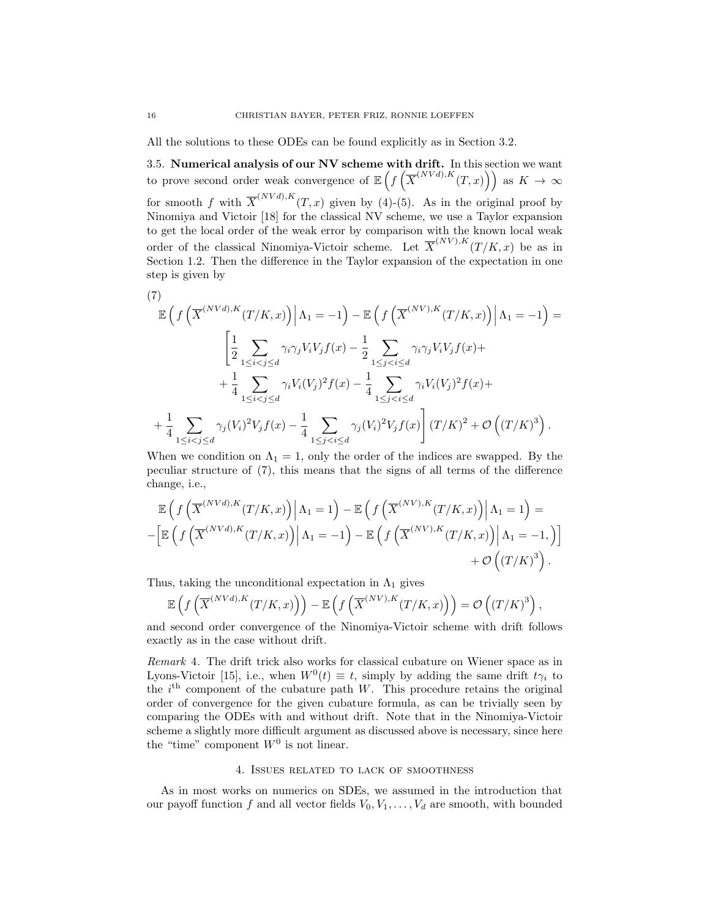All the solutions to these ODEs can be found explicitly as in Section 3.2.

3.5. Numerical analysis of our NV scheme with drift. In this section we want to prove second order weak convergence of  $\mathbb{E}\left(f\left(\overline{X}^{(NVd),K}(T,x)\right)\right)$  as  $K \to \infty$ for smooth f with  $\overline{X}^{(NVd),K}(T,x)$  given by (4)-(5). As in the original proof by Ninomiya and Victoir [18] for the classical NV scheme, we use a Taylor expansion to get the local order of the weak error by comparison with the known local weak order of the classical Ninomiya-Victoir scheme. Let  $\overline{X}^{(NV),K}(T/K, x)$  be as in Section 1.2. Then the difference in the Taylor expansion of the expectation in one step is given by

$$
\begin{split} \text{(7)}\\ \mathbb{E}\left(f\left(\overline{X}^{(NVd),K}(T/K,x)\right)\middle|\Lambda_{1}=-1\right)-\mathbb{E}\left(f\left(\overline{X}^{(NV),K}(T/K,x)\right)\middle|\Lambda_{1}=-1\right)=\\ \left[\frac{1}{2}\sum_{1\leq i
$$

When we condition on  $\Lambda_1 = 1$ , only the order of the indices are swapped. By the peculiar structure of (7), this means that the signs of all terms of the difference change, i.e.,

$$
\mathbb{E}\left(f\left(\overline{X}^{(NVd),K}(T/K,x)\right)\middle|\Lambda_{1}=1\right)-\mathbb{E}\left(f\left(\overline{X}^{(NV),K}(T/K,x)\right)\middle|\Lambda_{1}=1\right)=\\-\left[\mathbb{E}\left(f\left(\overline{X}^{(NVd),K}(T/K,x)\right)\middle|\Lambda_{1}=-1\right)-\mathbb{E}\left(f\left(\overline{X}^{(NV),K}(T/K,x)\right)\middle|\Lambda_{1}=-1\right)\right]+\mathcal{O}\left(\left(T/K\right)^{3}\right).
$$

Thus, taking the unconditional expectation in  $\Lambda_1$  gives

$$
\mathbb{E}\left(f\left(\overline{X}^{(NVd),K}(T/K,x)\right)\right)-\mathbb{E}\left(f\left(\overline{X}^{(NV),K}(T/K,x)\right)\right)=\mathcal{O}\left(\left(T/K\right)^3\right),\right.
$$

and second order convergence of the Ninomiya-Victoir scheme with drift follows exactly as in the case without drift.

Remark 4. The drift trick also works for classical cubature on Wiener space as in Lyons-Victoir [15], i.e., when  $W^0(t) \equiv t$ , simply by adding the same drift  $t\gamma_i$  to the  $i<sup>th</sup>$  component of the cubature path W. This procedure retains the original order of convergence for the given cubature formula, as can be trivially seen by comparing the ODEs with and without drift. Note that in the Ninomiya-Victoir scheme a slightly more difficult argument as discussed above is necessary, since here the "time" component  $W^0$  is not linear.

## 4. Issues related to lack of smoothness

As in most works on numerics on SDEs, we assumed in the introduction that our payoff function f and all vector fields  $V_0, V_1, \ldots, V_d$  are smooth, with bounded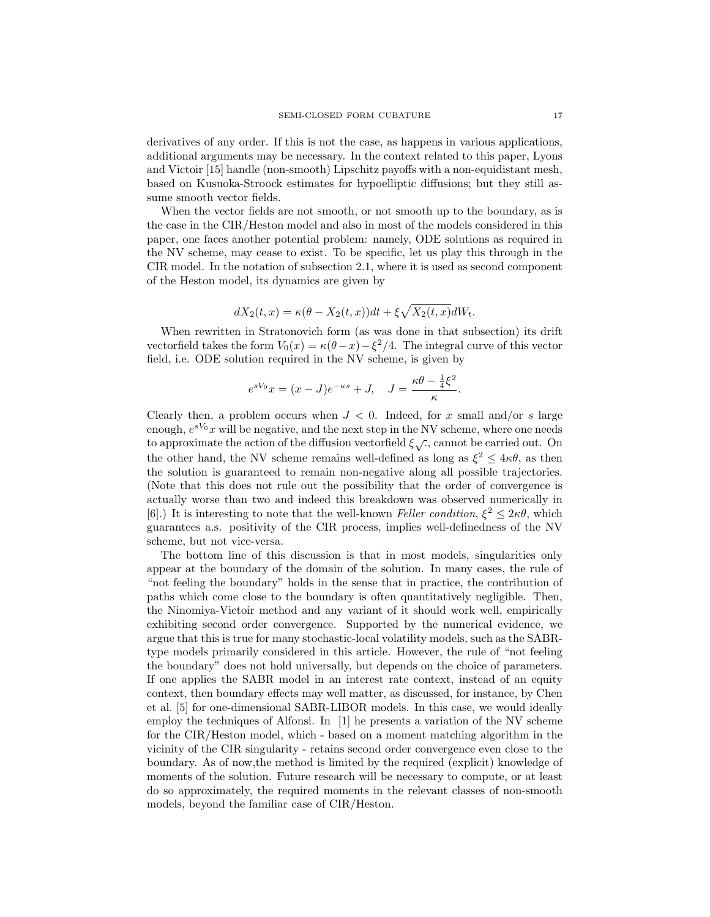derivatives of any order. If this is not the case, as happens in various applications, additional arguments may be necessary. In the context related to this paper, Lyons and Victoir [15] handle (non-smooth) Lipschitz payoffs with a non-equidistant mesh, based on Kusuoka-Stroock estimates for hypoelliptic diffusions; but they still assume smooth vector fields.

When the vector fields are not smooth, or not smooth up to the boundary, as is the case in the CIR/Heston model and also in most of the models considered in this paper, one faces another potential problem: namely, ODE solutions as required in the NV scheme, may cease to exist. To be specific, let us play this through in the CIR model. In the notation of subsection 2.1, where it is used as second component of the Heston model, its dynamics are given by

$$
dX_2(t,x) = \kappa(\theta - X_2(t,x))dt + \xi \sqrt{X_2(t,x)}dW_t.
$$

When rewritten in Stratonovich form (as was done in that subsection) its drift vectorfield takes the form  $V_0(x) = \kappa(\theta - x) - \xi^2/4$ . The integral curve of this vector field, i.e. ODE solution required in the NV scheme, is given by

$$
e^{sV_0}x = (x - J)e^{-\kappa s} + J
$$
,  $J = \frac{\kappa \theta - \frac{1}{4}\xi^2}{\kappa}$ .

Clearly then, a problem occurs when  $J < 0$ . Indeed, for x small and/or s large enough,  $e^{sV_0}x$  will be negative, and the next step in the NV scheme, where one needs to approximate the action of the diffusion vectorfield  $\xi \sqrt{\cdot}$ , cannot be carried out. On the other hand, the NV scheme remains well-defined as long as  $\xi^2 \leq 4\kappa\theta$ , as then the solution is guaranteed to remain non-negative along all possible trajectories. (Note that this does not rule out the possibility that the order of convergence is actually worse than two and indeed this breakdown was observed numerically in [6].) It is interesting to note that the well-known Feller condition,  $\xi^2 \leq 2\kappa\theta$ , which guarantees a.s. positivity of the CIR process, implies well-definedness of the NV scheme, but not vice-versa.

The bottom line of this discussion is that in most models, singularities only appear at the boundary of the domain of the solution. In many cases, the rule of "not feeling the boundary" holds in the sense that in practice, the contribution of paths which come close to the boundary is often quantitatively negligible. Then, the Ninomiya-Victoir method and any variant of it should work well, empirically exhibiting second order convergence. Supported by the numerical evidence, we argue that this is true for many stochastic-local volatility models, such as the SABRtype models primarily considered in this article. However, the rule of "not feeling the boundary" does not hold universally, but depends on the choice of parameters. If one applies the SABR model in an interest rate context, instead of an equity context, then boundary effects may well matter, as discussed, for instance, by Chen et al. [5] for one-dimensional SABR-LIBOR models. In this case, we would ideally employ the techniques of Alfonsi. In [1] he presents a variation of the NV scheme for the CIR/Heston model, which - based on a moment matching algorithm in the vicinity of the CIR singularity - retains second order convergence even close to the boundary. As of now,the method is limited by the required (explicit) knowledge of moments of the solution. Future research will be necessary to compute, or at least do so approximately, the required moments in the relevant classes of non-smooth models, beyond the familiar case of CIR/Heston.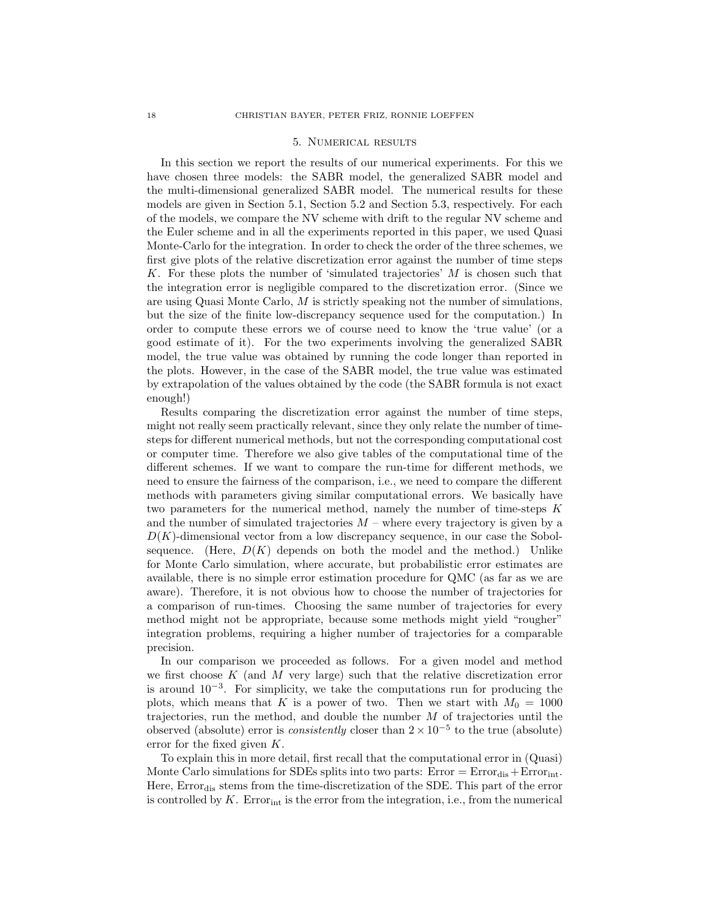#### 5. Numerical results

In this section we report the results of our numerical experiments. For this we have chosen three models: the SABR model, the generalized SABR model and the multi-dimensional generalized SABR model. The numerical results for these models are given in Section 5.1, Section 5.2 and Section 5.3, respectively. For each of the models, we compare the NV scheme with drift to the regular NV scheme and the Euler scheme and in all the experiments reported in this paper, we used Quasi Monte-Carlo for the integration. In order to check the order of the three schemes, we first give plots of the relative discretization error against the number of time steps K. For these plots the number of 'simulated trajectories' M is chosen such that the integration error is negligible compared to the discretization error. (Since we are using Quasi Monte Carlo, M is strictly speaking not the number of simulations, but the size of the finite low-discrepancy sequence used for the computation.) In order to compute these errors we of course need to know the 'true value' (or a good estimate of it). For the two experiments involving the generalized SABR model, the true value was obtained by running the code longer than reported in the plots. However, in the case of the SABR model, the true value was estimated by extrapolation of the values obtained by the code (the SABR formula is not exact enough!)

Results comparing the discretization error against the number of time steps, might not really seem practically relevant, since they only relate the number of timesteps for different numerical methods, but not the corresponding computational cost or computer time. Therefore we also give tables of the computational time of the different schemes. If we want to compare the run-time for different methods, we need to ensure the fairness of the comparison, i.e., we need to compare the different methods with parameters giving similar computational errors. We basically have two parameters for the numerical method, namely the number of time-steps K and the number of simulated trajectories  $M$  – where every trajectory is given by a  $D(K)$ -dimensional vector from a low discrepancy sequence, in our case the Sobolsequence. (Here,  $D(K)$  depends on both the model and the method.) Unlike for Monte Carlo simulation, where accurate, but probabilistic error estimates are available, there is no simple error estimation procedure for QMC (as far as we are aware). Therefore, it is not obvious how to choose the number of trajectories for a comparison of run-times. Choosing the same number of trajectories for every method might not be appropriate, because some methods might yield "rougher" integration problems, requiring a higher number of trajectories for a comparable precision.

In our comparison we proceeded as follows. For a given model and method we first choose  $K$  (and  $M$  very large) such that the relative discretization error is around 10<sup>−</sup><sup>3</sup> . For simplicity, we take the computations run for producing the plots, which means that K is a power of two. Then we start with  $M_0 = 1000$ trajectories, run the method, and double the number  $M$  of trajectories until the observed (absolute) error is *consistently* closer than  $2 \times 10^{-5}$  to the true (absolute) error for the fixed given K.

To explain this in more detail, first recall that the computational error in (Quasi) Monte Carlo simulations for SDEs splits into two parts:  $Error = Error_{dist} + Error_{int}$ . Here, Errordis stems from the time-discretization of the SDE. This part of the error is controlled by  $K$ . Error<sub>int</sub> is the error from the integration, i.e., from the numerical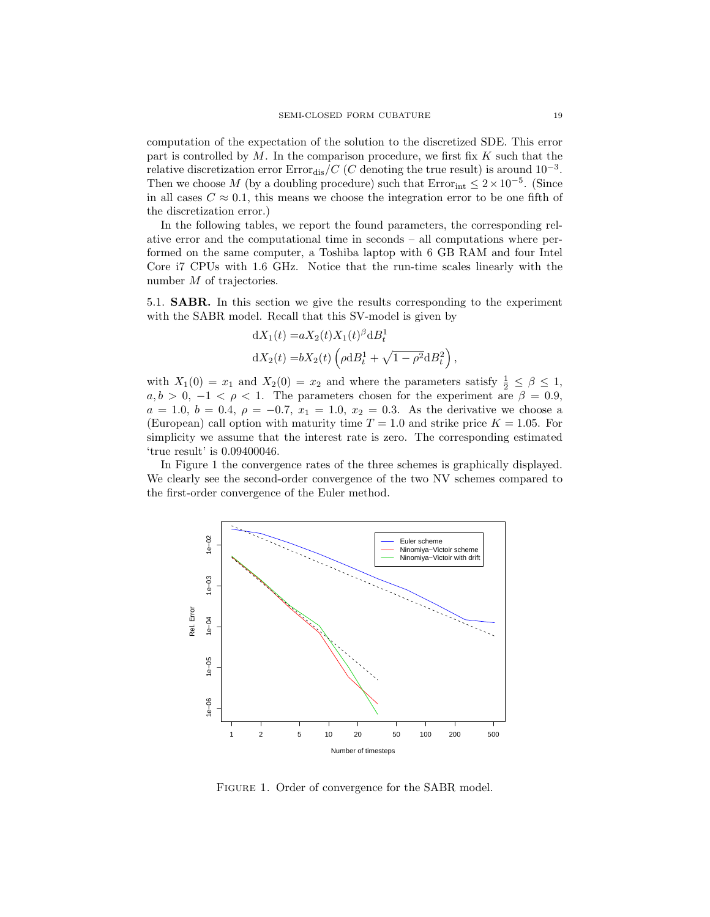computation of the expectation of the solution to the discretized SDE. This error part is controlled by  $M$ . In the comparison procedure, we first fix  $K$  such that the relative discretization error Error<sub>dis</sub>/C (C denoting the true result) is around  $10^{-3}$ . Then we choose M (by a doubling procedure) such that  $Error_{int} \leq 2 \times 10^{-5}$ . (Since in all cases  $C \approx 0.1$ , this means we choose the integration error to be one fifth of the discretization error.)

In the following tables, we report the found parameters, the corresponding relative error and the computational time in seconds – all computations where performed on the same computer, a Toshiba laptop with 6 GB RAM and four Intel Core i7 CPUs with 1.6 GHz. Notice that the run-time scales linearly with the number M of trajectories.

5.1. SABR. In this section we give the results corresponding to the experiment with the SABR model. Recall that this SV-model is given by

$$
dX_1(t) = aX_2(t)X_1(t)^{\beta}dB_t^1
$$
  

$$
dX_2(t) = bX_2(t)\left(\rho dB_t^1 + \sqrt{1 - \rho^2}dB_t^2\right),
$$

with  $X_1(0) = x_1$  and  $X_2(0) = x_2$  and where the parameters satisfy  $\frac{1}{2} \le \beta \le 1$ ,  $a, b > 0, -1 < \rho < 1$ . The parameters chosen for the experiment are  $\beta = 0.9$ ,  $a = 1.0, b = 0.4, \rho = -0.7, x_1 = 1.0, x_2 = 0.3.$  As the derivative we choose a (European) call option with maturity time  $T = 1.0$  and strike price  $K = 1.05$ . For simplicity we assume that the interest rate is zero. The corresponding estimated 'true result' is 0.09400046.

In Figure 1 the convergence rates of the three schemes is graphically displayed. We clearly see the second-order convergence of the two NV schemes compared to the first-order convergence of the Euler method.



Figure 1. Order of convergence for the SABR model.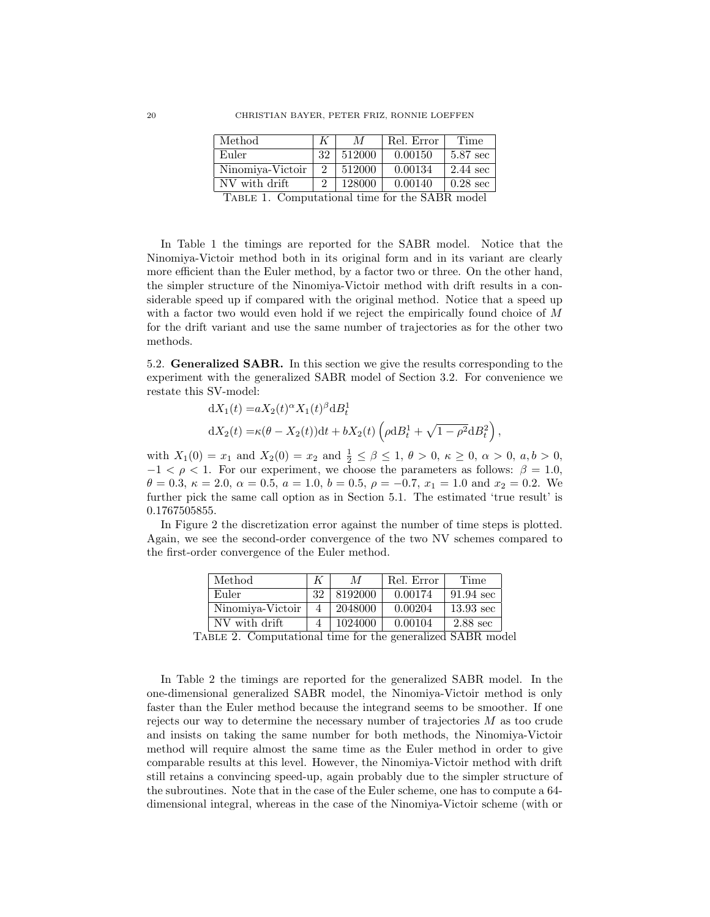| Method                                                                       | K  | М      | Rel. Error | Time               |  |  |  |
|------------------------------------------------------------------------------|----|--------|------------|--------------------|--|--|--|
| Euler                                                                        | 32 | 512000 | 0.00150    | 5.87 sec           |  |  |  |
| Ninomiya-Victoir                                                             |    | 512000 | 0.00134    | $2.44 \text{ sec}$ |  |  |  |
| NV with drift                                                                |    | 128000 | 0.00140    | $0.28 \text{ sec}$ |  |  |  |
| $Computation of time for the CADD model$<br>$\Gamma$ a principal in $\Gamma$ |    |        |            |                    |  |  |  |

Table 1. Computational time for the SABR model

In Table 1 the timings are reported for the SABR model. Notice that the Ninomiya-Victoir method both in its original form and in its variant are clearly more efficient than the Euler method, by a factor two or three. On the other hand, the simpler structure of the Ninomiya-Victoir method with drift results in a considerable speed up if compared with the original method. Notice that a speed up with a factor two would even hold if we reject the empirically found choice of M for the drift variant and use the same number of trajectories as for the other two methods.

5.2. Generalized SABR. In this section we give the results corresponding to the experiment with the generalized SABR model of Section 3.2. For convenience we restate this SV-model:

$$
dX_1(t) = aX_2(t)^{\alpha} X_1(t)^{\beta} dB_t^1
$$
  
\n
$$
dX_2(t) = \kappa(\theta - X_2(t))dt + bX_2(t)\left(\rho dB_t^1 + \sqrt{1 - \rho^2} dB_t^2\right),
$$

with  $X_1(0) = x_1$  and  $X_2(0) = x_2$  and  $\frac{1}{2} \le \beta \le 1$ ,  $\theta > 0$ ,  $\kappa \ge 0$ ,  $\alpha > 0$ ,  $a, b > 0$ ,  $-1 < \rho < 1$ . For our experiment, we choose the parameters as follows:  $\beta = 1.0$ ,  $\theta = 0.3, \ \kappa = 2.0, \ \alpha = 0.5, \ a = 1.0, \ b = 0.5, \ \rho = -0.7, \ x_1 = 1.0 \text{ and } x_2 = 0.2.$  We further pick the same call option as in Section 5.1. The estimated 'true result' is 0.1767505855.

In Figure 2 the discretization error against the number of time steps is plotted. Again, we see the second-order convergence of the two NV schemes compared to the first-order convergence of the Euler method.

|                  |    |         | Rel. Error | Time                |
|------------------|----|---------|------------|---------------------|
| Euler            | 32 | 8192000 | 0.00174    | 91.94 sec           |
| Ninomiya-Victoir |    | 2048000 | 0.00204    | $13.93 \text{ sec}$ |
| NV with drift    |    | 1024000 | 0.00104    | $2.88 \text{ sec}$  |

TABLE 2. Computational time for the generalized SABR model

In Table 2 the timings are reported for the generalized SABR model. In the one-dimensional generalized SABR model, the Ninomiya-Victoir method is only faster than the Euler method because the integrand seems to be smoother. If one rejects our way to determine the necessary number of trajectories  $M$  as too crude and insists on taking the same number for both methods, the Ninomiya-Victoir method will require almost the same time as the Euler method in order to give comparable results at this level. However, the Ninomiya-Victoir method with drift still retains a convincing speed-up, again probably due to the simpler structure of the subroutines. Note that in the case of the Euler scheme, one has to compute a 64 dimensional integral, whereas in the case of the Ninomiya-Victoir scheme (with or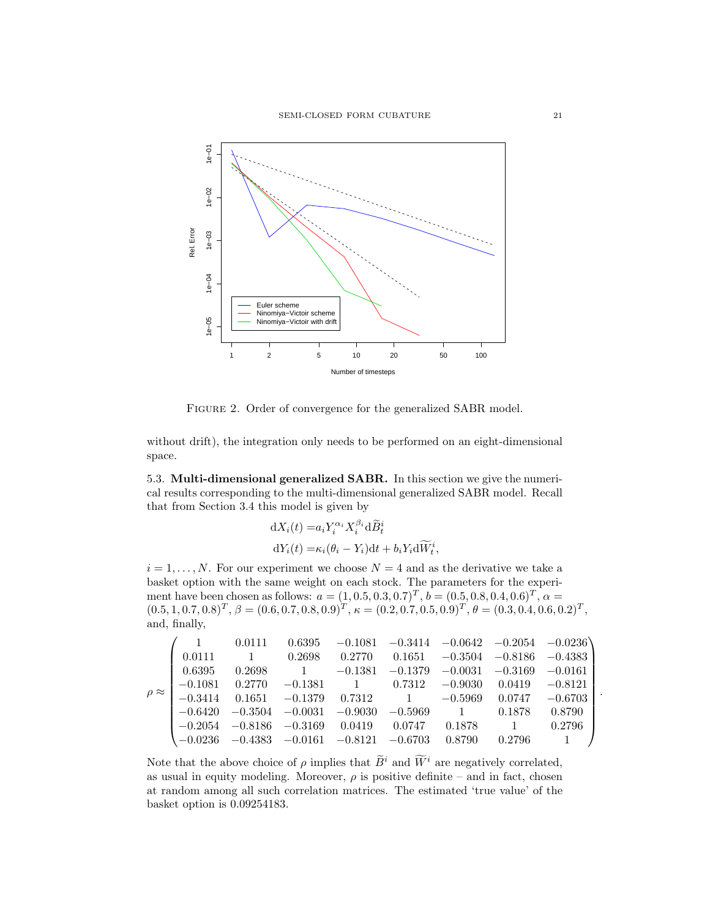

FIGURE 2. Order of convergence for the generalized SABR model.

without drift), the integration only needs to be performed on an eight-dimensional space.

5.3. Multi-dimensional generalized SABR. In this section we give the numerical results corresponding to the multi-dimensional generalized SABR model. Recall that from Section 3.4 this model is given by

$$
dX_i(t) = a_i Y_i^{\alpha_i} X_i^{\beta_i} d\widetilde{B}_t^i
$$
  

$$
dY_i(t) = \kappa_i (\theta_i - Y_i) dt + b_i Y_i d\widetilde{W}_t^i,
$$

 $i = 1, \ldots, N$ . For our experiment we choose  $N = 4$  and as the derivative we take a basket option with the same weight on each stock. The parameters for the experiment have been chosen as follows:  $a = (1, 0.5, 0.3, 0.7)^T$ ,  $b = (0.5, 0.8, 0.4, 0.6)^T$ ,  $\alpha =$  $(0.5, 1, 0.7, 0.8)^T$ ,  $\beta = (0.6, 0.7, 0.8, 0.9)^T$ ,  $\kappa = (0.2, 0.7, 0.5, 0.9)^T$ ,  $\theta = (0.3, 0.4, 0.6, 0.2)^T$ , and, finally,

|                |           | 0.0111                                                                          | 0.6395               |             |        |                                         | $-0.1081$ $-0.3414$ $-0.0642$ $-0.2054$ $-0.0236$ |
|----------------|-----------|---------------------------------------------------------------------------------|----------------------|-------------|--------|-----------------------------------------|---------------------------------------------------|
|                | 0.0111    |                                                                                 | 0.2698               |             |        |                                         | $0.2770$ $0.1651$ $-0.3504$ $-0.8186$ $-0.4383$   |
|                | 0.6395    |                                                                                 | $0.2698$ 1 $-0.1381$ |             |        | $-0.1379$ $-0.0031$ $-0.3169$ $-0.0161$ |                                                   |
|                | $-0.1081$ | $0.2770$ $-0.1381$ 1 $0.7312$ $-0.9030$ $0.0419$ $-0.8121$                      |                      |             |        |                                         |                                                   |
| $\rho \approx$ |           | $-0.3414 \quad 0.1651 \quad -0.1379 \quad 0.7312 \qquad \quad 1 \qquad -0.5969$ |                      |             |        | $0.0747 - 0.6703$                       |                                                   |
|                |           | $-0.6420$ $-0.3504$ $-0.0031$ $-0.9030$                                         |                      | $-0.5969$ 1 |        | 0.1878                                  | 0.8790                                            |
|                |           | $-0.2054$ $-0.8186$ $-0.3169$ $0.0419$ $0.0747$                                 |                      |             | 0.1878 | $\sim$ $\sim$ $1$                       | 0.2796                                            |
|                |           | $-0.0236$ $-0.4383$ $-0.0161$ $-0.8121$ $-0.6703$ 0.8790                        |                      |             |        | 0.2796                                  |                                                   |

Note that the above choice of  $\rho$  implies that  $\widetilde{B}^i$  and  $\widetilde{W}^i$  are negatively correlated, as usual in equity modeling. Moreover,  $\rho$  is positive definite – and in fact, chosen at random among all such correlation matrices. The estimated 'true value' of the basket option is 0.09254183.

.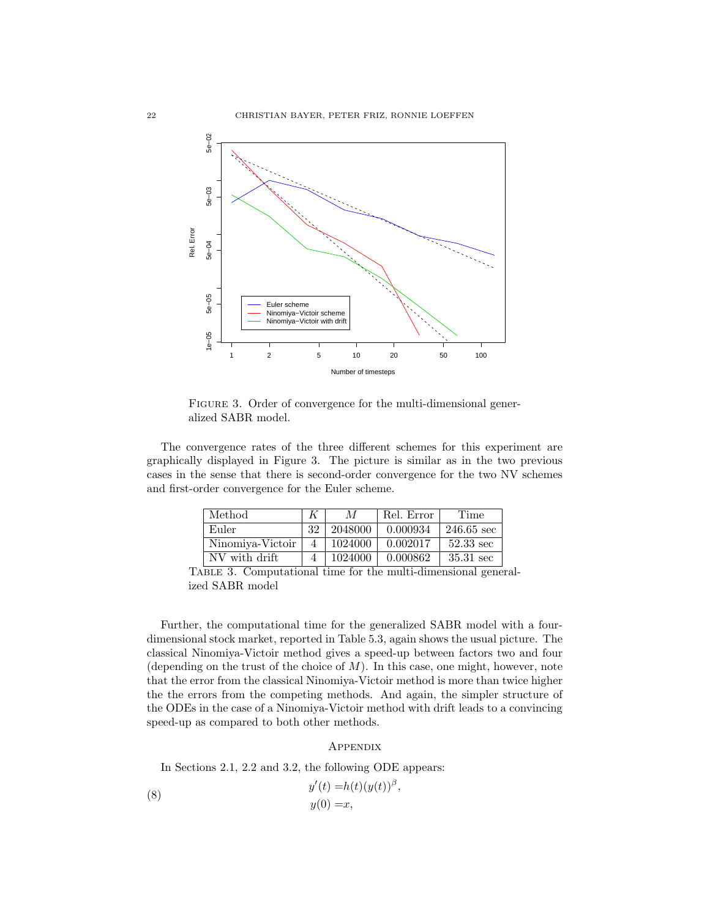

FIGURE 3. Order of convergence for the multi-dimensional generalized SABR model.

The convergence rates of the three different schemes for this experiment are graphically displayed in Figure 3. The picture is similar as in the two previous cases in the sense that there is second-order convergence for the two NV schemes and first-order convergence for the Euler scheme.

| Method           |    | M       | Rel. Error | Time                 |
|------------------|----|---------|------------|----------------------|
| Euler            | 32 | 2048000 | 0.000934   | $246.65 \text{ sec}$ |
| Ninomiya-Victoir |    | 1024000 | 0.002017   | $52.33 \text{ sec}$  |
| NV with drift    |    | 1024000 | 0.000862   | $35.31 \text{ sec}$  |

|  | TABLE 3. Computational time for the multi-dimensional general- |  |  |  |  |  |
|--|----------------------------------------------------------------|--|--|--|--|--|
|  | ized SABR model                                                |  |  |  |  |  |

Further, the computational time for the generalized SABR model with a fourdimensional stock market, reported in Table 5.3, again shows the usual picture. The classical Ninomiya-Victoir method gives a speed-up between factors two and four (depending on the trust of the choice of  $M$ ). In this case, one might, however, note that the error from the classical Ninomiya-Victoir method is more than twice higher the the errors from the competing methods. And again, the simpler structure of the ODEs in the case of a Ninomiya-Victoir method with drift leads to a convincing speed-up as compared to both other methods.

## **APPENDIX**

,

In Sections 2.1, 2.2 and 3.2, the following ODE appears:

(8) 
$$
y'(t) = h(t)(y(t))^{\beta}
$$

$$
y(0) = x,
$$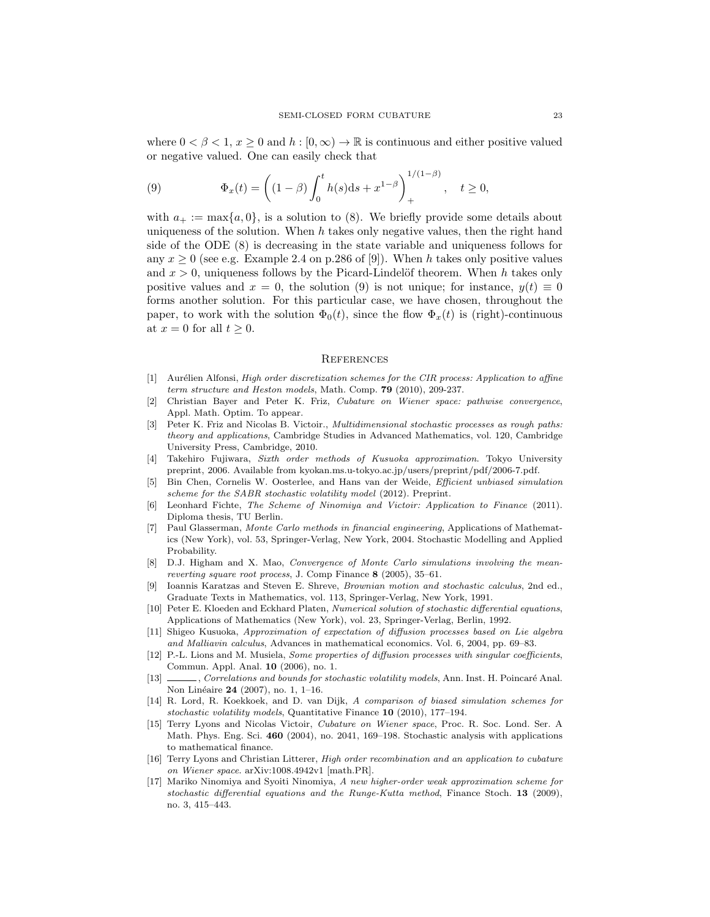where  $0 < \beta < 1$ ,  $x > 0$  and  $h : [0, \infty) \to \mathbb{R}$  is continuous and either positive valued or negative valued. One can easily check that

(9) 
$$
\Phi_x(t) = \left( (1 - \beta) \int_0^t h(s) ds + x^{1-\beta} \right)_+^{1/(1-\beta)}, \quad t \ge 0,
$$

with  $a_+ := \max\{a, 0\}$ , is a solution to (8). We briefly provide some details about uniqueness of the solution. When  $h$  takes only negative values, then the right hand side of the ODE (8) is decreasing in the state variable and uniqueness follows for any  $x \geq 0$  (see e.g. Example 2.4 on p.286 of [9]). When h takes only positive values and  $x > 0$ , uniqueness follows by the Picard-Lindelöf theorem. When h takes only positive values and  $x = 0$ , the solution (9) is not unique; for instance,  $y(t) \equiv 0$ forms another solution. For this particular case, we have chosen, throughout the paper, to work with the solution  $\Phi_0(t)$ , since the flow  $\Phi_r(t)$  is (right)-continuous at  $x = 0$  for all  $t \geq 0$ .

#### **REFERENCES**

- [1] Aurélien Alfonsi, High order discretization schemes for the CIR process: Application to affine term structure and Heston models, Math. Comp. 79 (2010), 209-237.
- [2] Christian Bayer and Peter K. Friz, Cubature on Wiener space: pathwise convergence, Appl. Math. Optim. To appear.
- [3] Peter K. Friz and Nicolas B. Victoir., Multidimensional stochastic processes as rough paths: theory and applications, Cambridge Studies in Advanced Mathematics, vol. 120, Cambridge University Press, Cambridge, 2010.
- [4] Takehiro Fujiwara, Sixth order methods of Kusuoka approximation. Tokyo University preprint, 2006. Available from kyokan.ms.u-tokyo.ac.jp/users/preprint/pdf/2006-7.pdf.
- [5] Bin Chen, Cornelis W. Oosterlee, and Hans van der Weide, Efficient unbiased simulation scheme for the SABR stochastic volatility model (2012). Preprint.
- [6] Leonhard Fichte, The Scheme of Ninomiya and Victoir: Application to Finance (2011). Diploma thesis, TU Berlin.
- [7] Paul Glasserman, Monte Carlo methods in financial engineering, Applications of Mathematics (New York), vol. 53, Springer-Verlag, New York, 2004. Stochastic Modelling and Applied Probability.
- [8] D.J. Higham and X. Mao, Convergence of Monte Carlo simulations involving the meanreverting square root process, J. Comp Finance 8 (2005), 35–61.
- [9] Ioannis Karatzas and Steven E. Shreve, Brownian motion and stochastic calculus, 2nd ed., Graduate Texts in Mathematics, vol. 113, Springer-Verlag, New York, 1991.
- [10] Peter E. Kloeden and Eckhard Platen, Numerical solution of stochastic differential equations, Applications of Mathematics (New York), vol. 23, Springer-Verlag, Berlin, 1992.
- [11] Shigeo Kusuoka, Approximation of expectation of diffusion processes based on Lie algebra and Malliavin calculus, Advances in mathematical economics. Vol. 6, 2004, pp. 69–83.
- [12] P.-L. Lions and M. Musiela, Some properties of diffusion processes with singular coefficients, Commun. Appl. Anal. 10 (2006), no. 1.
- [13] , Correlations and bounds for stochastic volatility models, Ann. Inst. H. Poincaré Anal. Non Linéaire 24 (2007), no. 1, 1–16.
- [14] R. Lord, R. Koekkoek, and D. van Dijk, A comparison of biased simulation schemes for stochastic volatility models, Quantitative Finance 10 (2010), 177–194.
- [15] Terry Lyons and Nicolas Victoir, Cubature on Wiener space, Proc. R. Soc. Lond. Ser. A Math. Phys. Eng. Sci. 460 (2004), no. 2041, 169–198. Stochastic analysis with applications to mathematical finance.
- [16] Terry Lyons and Christian Litterer, High order recombination and an application to cubature on Wiener space. arXiv:1008.4942v1 [math.PR].
- [17] Mariko Ninomiya and Syoiti Ninomiya, A new higher-order weak approximation scheme for stochastic differential equations and the Runge-Kutta method, Finance Stoch. 13 (2009), no. 3, 415–443.